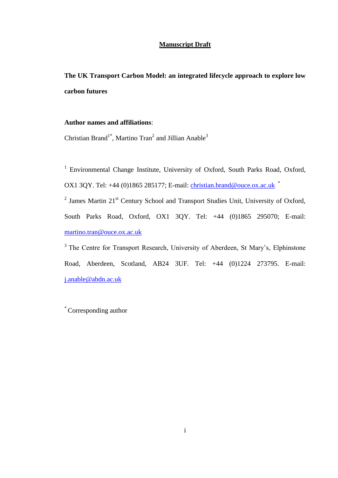## **Manuscript Draft**

**The UK Transport Carbon Model: an integrated lifecycle approach to explore low carbon futures**

## **Author names and affiliations**:

Christian Brand<sup>1\*</sup>, Martino Tran<sup>2</sup> and Jillian Anable<sup>3</sup>

<sup>1</sup> Environmental Change Institute, University of Oxford, South Parks Road, Oxford, OX1 3QY. Tel: +44 (0)1865 285177; E-mail: [christian.brand@ouce.ox.ac.uk](mailto:christian.brand@ouce.ox.ac.uk) \*

<sup>2</sup> James Martin 21<sup>st</sup> Century School and Transport Studies Unit, University of Oxford, South Parks Road, Oxford, OX1 3QY. Tel: +44 (0)1865 295070; E-mail: [martino.tran@ouce.ox.ac.uk](mailto:martino.tran@ouce.ox.ac.uk)

<sup>3</sup> The Centre for Transport Research, University of Aberdeen, St Mary's, Elphinstone Road, Aberdeen, Scotland, AB24 3UF. Tel: +44 (0)1224 273795. E-mail: [j.anable@abdn.ac.uk](mailto:j.anable@abdn.ac.uk)

\*Corresponding author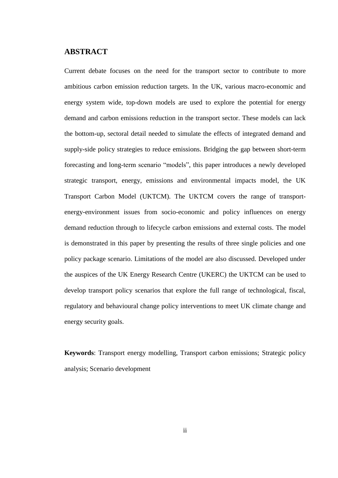## **ABSTRACT**

Current debate focuses on the need for the transport sector to contribute to more ambitious carbon emission reduction targets. In the UK, various macro-economic and energy system wide, top-down models are used to explore the potential for energy demand and carbon emissions reduction in the transport sector. These models can lack the bottom-up, sectoral detail needed to simulate the effects of integrated demand and supply-side policy strategies to reduce emissions. Bridging the gap between short-term forecasting and long-term scenario "models", this paper introduces a newly developed strategic transport, energy, emissions and environmental impacts model, the UK Transport Carbon Model (UKTCM). The UKTCM covers the range of transportenergy-environment issues from socio-economic and policy influences on energy demand reduction through to lifecycle carbon emissions and external costs. The model is demonstrated in this paper by presenting the results of three single policies and one policy package scenario. Limitations of the model are also discussed. Developed under the auspices of the UK Energy Research Centre (UKERC) the UKTCM can be used to develop transport policy scenarios that explore the full range of technological, fiscal, regulatory and behavioural change policy interventions to meet UK climate change and energy security goals.

**Keywords**: Transport energy modelling, Transport carbon emissions; Strategic policy analysis; Scenario development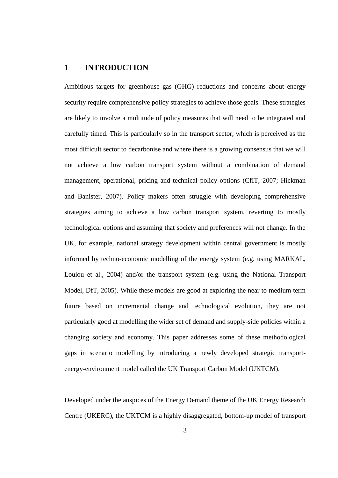# **1 INTRODUCTION**

Ambitious targets for greenhouse gas (GHG) reductions and concerns about energy security require comprehensive policy strategies to achieve those goals. These strategies are likely to involve a multitude of policy measures that will need to be integrated and carefully timed. This is particularly so in the transport sector, which is perceived as the most difficult sector to decarbonise and where there is a growing consensus that we will not achieve a low carbon transport system without a combination of demand management, operational, pricing and technical policy options (CfIT, 2007; Hickman and Banister, 2007). Policy makers often struggle with developing comprehensive strategies aiming to achieve a low carbon transport system, reverting to mostly technological options and assuming that society and preferences will not change. In the UK, for example, national strategy development within central government is mostly informed by techno-economic modelling of the energy system (e.g. using MARKAL, Loulou et al., 2004) and/or the transport system (e.g. using the National Transport Model, DfT, 2005). While these models are good at exploring the near to medium term future based on incremental change and technological evolution, they are not particularly good at modelling the wider set of demand and supply-side policies within a changing society and economy. This paper addresses some of these methodological gaps in scenario modelling by introducing a newly developed strategic transportenergy-environment model called the UK Transport Carbon Model (UKTCM).

Developed under the auspices of the Energy Demand theme of the UK Energy Research Centre (UKERC), the UKTCM is a highly disaggregated, bottom-up model of transport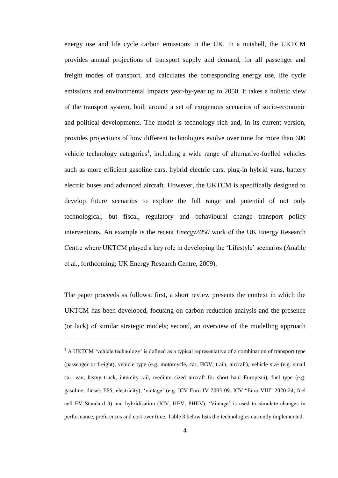energy use and life cycle carbon emissions in the UK. In a nutshell, the UKTCM provides annual projections of transport supply and demand, for all passenger and freight modes of transport, and calculates the corresponding energy use, life cycle emissions and environmental impacts year-by-year up to 2050. It takes a holistic view of the transport system, built around a set of exogenous scenarios of socio-economic and political developments. The model is technology rich and, in its current version, provides projections of how different technologies evolve over time for more than 600 vehicle technology categories<sup>1</sup>, including a wide range of alternative-fuelled vehicles such as more efficient gasoline cars, hybrid electric cars, plug-in hybrid vans, battery electric buses and advanced aircraft. However, the UKTCM is specifically designed to develop future scenarios to explore the full range and potential of not only technological, but fiscal, regulatory and behavioural change transport policy interventions. An example is the recent *Energy2050* work of the UK Energy Research Centre where UKTCM played a key role in developing the 'Lifestyle' scenarios (Anable et al., forthcoming; UK Energy Research Centre, 2009).

The paper proceeds as follows: first, a short review presents the context in which the UKTCM has been developed, focusing on carbon reduction analysis and the presence (or lack) of similar strategic models; second, an overview of the modelling approach

 $\overline{a}$ 

 $<sup>1</sup>$  A UKTCM 'vehicle technology' is defined as a typical representative of a combination of transport type</sup> (passenger or freight), vehicle type (e.g. motorcycle, car, HGV, train, aircraft), vehicle size (e.g. small car, van, heavy truck, intercity rail, medium sized aircraft for short haul European), fuel type (e.g. gasoline, diesel, E85, electricity), 'vintage' (e.g. ICV Euro IV 2005-09, ICV "Euro VIII" 2020-24, fuel cell EV Standard 3) and hybridisation (ICV, HEV, PHEV). 'Vintage' is used to simulate changes in performance, preferences and cost over time. Table 3 below lists the technologies currently implemented.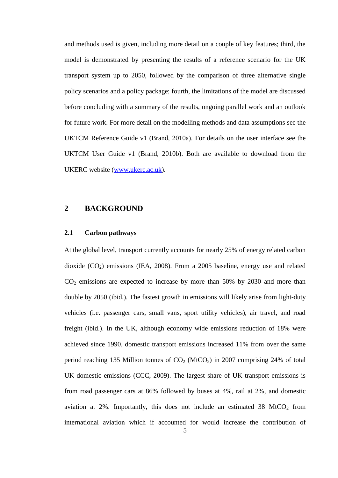and methods used is given, including more detail on a couple of key features; third, the model is demonstrated by presenting the results of a reference scenario for the UK transport system up to 2050, followed by the comparison of three alternative single policy scenarios and a policy package; fourth, the limitations of the model are discussed before concluding with a summary of the results, ongoing parallel work and an outlook for future work. For more detail on the modelling methods and data assumptions see the UKTCM Reference Guide v1 (Brand, 2010a). For details on the user interface see the UKTCM User Guide v1 (Brand, 2010b). Both are available to download from the UKERC website [\(www.ukerc.ac.uk\)](http://www.ukerc.ac.uk/).

# **2 BACKGROUND**

## **2.1 Carbon pathways**

At the global level, transport currently accounts for nearly 25% of energy related carbon dioxide  $(CO<sub>2</sub>)$  emissions (IEA, 2008). From a 2005 baseline, energy use and related  $CO<sub>2</sub>$  emissions are expected to increase by more than 50% by 2030 and more than double by 2050 (ibid.). The fastest growth in emissions will likely arise from light-duty vehicles (i.e. passenger cars, small vans, sport utility vehicles), air travel, and road freight (ibid.). In the UK, although economy wide emissions reduction of 18% were achieved since 1990, domestic transport emissions increased 11% from over the same period reaching 135 Million tonnes of  $CO<sub>2</sub>$  (MtCO<sub>2</sub>) in 2007 comprising 24% of total UK domestic emissions (CCC, 2009). The largest share of UK transport emissions is from road passenger cars at 86% followed by buses at 4%, rail at 2%, and domestic aviation at  $2\%$ . Importantly, this does not include an estimated 38 MtCO<sub>2</sub> from international aviation which if accounted for would increase the contribution of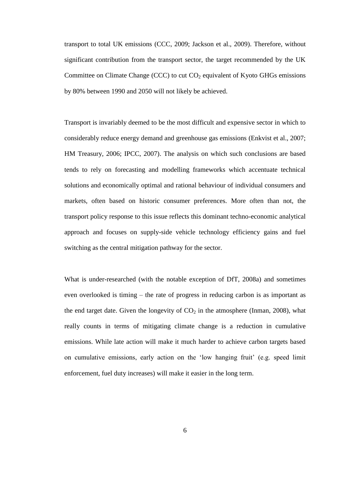transport to total UK emissions (CCC, 2009; Jackson et al., 2009). Therefore, without significant contribution from the transport sector, the target recommended by the UK Committee on Climate Change (CCC) to cut  $CO<sub>2</sub>$  equivalent of Kyoto GHGs emissions by 80% between 1990 and 2050 will not likely be achieved.

Transport is invariably deemed to be the most difficult and expensive sector in which to considerably reduce energy demand and greenhouse gas emissions (Enkvist et al., 2007; HM Treasury, 2006; IPCC, 2007). The analysis on which such conclusions are based tends to rely on forecasting and modelling frameworks which accentuate technical solutions and economically optimal and rational behaviour of individual consumers and markets, often based on historic consumer preferences. More often than not, the transport policy response to this issue reflects this dominant techno-economic analytical approach and focuses on supply-side vehicle technology efficiency gains and fuel switching as the central mitigation pathway for the sector.

What is under-researched (with the notable exception of DfT, 2008a) and sometimes even overlooked is timing – the rate of progress in reducing carbon is as important as the end target date. Given the longevity of  $CO<sub>2</sub>$  in the atmosphere (Inman, 2008), what really counts in terms of mitigating climate change is a reduction in cumulative emissions. While late action will make it much harder to achieve carbon targets based on cumulative emissions, early action on the 'low hanging fruit' (e.g. speed limit enforcement, fuel duty increases) will make it easier in the long term.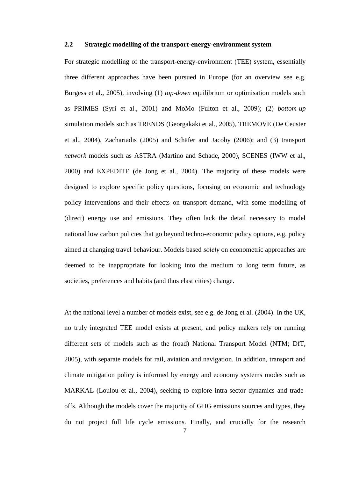## **2.2 Strategic modelling of the transport-energy-environment system**

For strategic modelling of the transport-energy-environment (TEE) system, essentially three different approaches have been pursued in Europe (for an overview see e.g. Burgess et al., 2005), involving (1) *top-down* equilibrium or optimisation models such as PRIMES (Syri et al., 2001) and MoMo (Fulton et al., 2009); (2) *bottom-up* simulation models such as TRENDS (Georgakaki et al., 2005), TREMOVE (De Ceuster et al., 2004), Zachariadis (2005) and Schäfer and Jacoby (2006); and (3) transport *network* models such as ASTRA (Martino and Schade, 2000), SCENES (IWW et al., 2000) and EXPEDITE (de Jong et al., 2004). The majority of these models were designed to explore specific policy questions, focusing on economic and technology policy interventions and their effects on transport demand, with some modelling of (direct) energy use and emissions. They often lack the detail necessary to model national low carbon policies that go beyond techno-economic policy options, e.g. policy aimed at changing travel behaviour. Models based *solely* on econometric approaches are deemed to be inappropriate for looking into the medium to long term future, as societies, preferences and habits (and thus elasticities) change.

At the national level a number of models exist, see e.g. de Jong et al. (2004). In the UK, no truly integrated TEE model exists at present, and policy makers rely on running different sets of models such as the (road) National Transport Model (NTM; DfT, 2005), with separate models for rail, aviation and navigation. In addition, transport and climate mitigation policy is informed by energy and economy systems modes such as MARKAL (Loulou et al., 2004), seeking to explore intra-sector dynamics and tradeoffs. Although the models cover the majority of GHG emissions sources and types, they do not project full life cycle emissions. Finally, and crucially for the research

7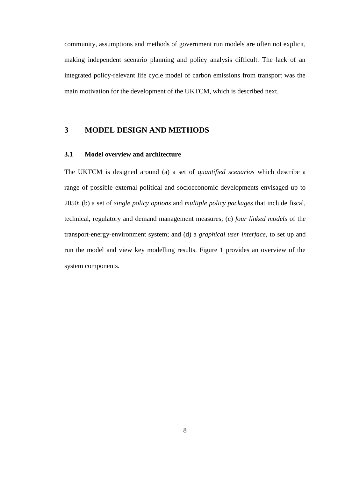community, assumptions and methods of government run models are often not explicit, making independent scenario planning and policy analysis difficult. The lack of an integrated policy-relevant life cycle model of carbon emissions from transport was the main motivation for the development of the UKTCM, which is described next.

## **3 MODEL DESIGN AND METHODS**

## **3.1 Model overview and architecture**

The UKTCM is designed around (a) a set of *quantified scenarios* which describe a range of possible external political and socioeconomic developments envisaged up to 2050; (b) a set of *single policy options* and *multiple policy packages* that include fiscal, technical, regulatory and demand management measures; (c) *four linked models* of the transport-energy-environment system; and (d) a *graphical user interface*, to set up and run the model and view key modelling results. Figure 1 provides an overview of the system components.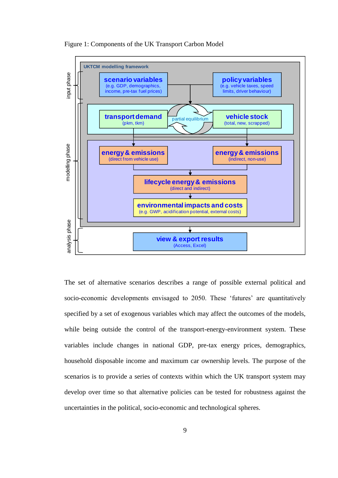

Figure 1: Components of the UK Transport Carbon Model

The set of alternative scenarios describes a range of possible external political and socio-economic developments envisaged to 2050. These 'futures' are quantitatively specified by a set of exogenous variables which may affect the outcomes of the models, while being outside the control of the transport-energy-environment system. These variables include changes in national GDP, pre-tax energy prices, demographics, household disposable income and maximum car ownership levels. The purpose of the scenarios is to provide a series of contexts within which the UK transport system may develop over time so that alternative policies can be tested for robustness against the uncertainties in the political, socio-economic and technological spheres.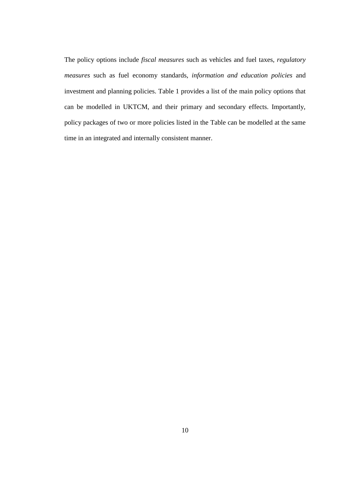The policy options include *fiscal measures* such as vehicles and fuel taxes, *regulatory measures* such as fuel economy standards, *information and education policies* and investment and planning policies. Table 1 provides a list of the main policy options that can be modelled in UKTCM, and their primary and secondary effects. Importantly, policy packages of two or more policies listed in the Table can be modelled at the same time in an integrated and internally consistent manner.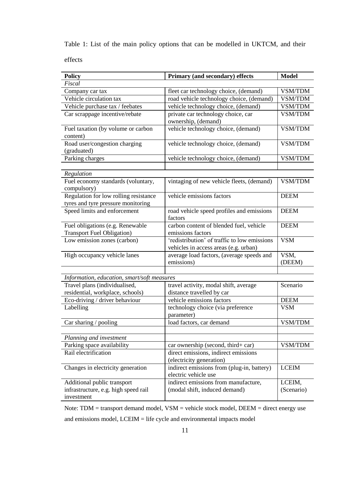Table 1: List of the main policy options that can be modelled in UKTCM, and their

effects

| <b>Policy</b>                                                                     | Primary (and secondary) effects                                                       | <b>Model</b>         |
|-----------------------------------------------------------------------------------|---------------------------------------------------------------------------------------|----------------------|
| Fiscal                                                                            |                                                                                       |                      |
| Company car tax                                                                   | fleet car technology choice, (demand)                                                 | VSM/TDM              |
| Vehicle circulation tax                                                           | road vehicle technology choice, (demand)                                              | VSM/TDM              |
| Vehicle purchase tax / feebates                                                   | vehicle technology choice, (demand)                                                   | VSM/TDM              |
| Car scrappage incentive/rebate                                                    | private car technology choice, car                                                    | <b>VSM/TDM</b>       |
|                                                                                   | ownership, (demand)                                                                   |                      |
| Fuel taxation (by volume or carbon<br>content)                                    | vehicle technology choice, (demand)                                                   | VSM/TDM              |
| Road user/congestion charging<br>(graduated)                                      | vehicle technology choice, (demand)                                                   | VSM/TDM              |
| Parking charges                                                                   | vehicle technology choice, (demand)                                                   | VSM/TDM              |
|                                                                                   |                                                                                       |                      |
| Regulation                                                                        |                                                                                       |                      |
| Fuel economy standards (voluntary,<br>compulsory)                                 | vintaging of new vehicle fleets, (demand)                                             | <b>VSM/TDM</b>       |
| Regulation for low rolling resistance<br>tyres and tyre pressure monitoring       | vehicle emissions factors                                                             | <b>DEEM</b>          |
| Speed limits and enforcement                                                      | road vehicle speed profiles and emissions<br>factors                                  | <b>DEEM</b>          |
| Fuel obligations (e.g. Renewable<br><b>Transport Fuel Obligation)</b>             | carbon content of blended fuel, vehicle<br>emissions factors                          | <b>DEEM</b>          |
| Low emission zones (carbon)                                                       | 'redistribution' of traffic to low emissions<br>vehicles in access areas (e.g. urban) | <b>VSM</b>           |
| High occupancy vehicle lanes                                                      | average load factors, (average speeds and<br>emissions)                               | VSM,<br>(DEEM)       |
|                                                                                   |                                                                                       |                      |
| Information, education, smart/soft measures                                       |                                                                                       |                      |
| Travel plans (individualised,                                                     | travel activity, modal shift, average                                                 | Scenario             |
| residential, workplace, schools)                                                  | distance travelled by car                                                             |                      |
| Eco-driving / driver behaviour                                                    | vehicle emissions factors                                                             | <b>DEEM</b>          |
| Labelling                                                                         | technology choice (via preference<br>parameter)                                       | <b>VSM</b>           |
| $\overline{\text{Car}}$ sharing / pooling                                         | load factors, car demand                                                              | <b>VSM/TDM</b>       |
|                                                                                   |                                                                                       |                      |
| Planning and investment                                                           |                                                                                       |                      |
| Parking space availability                                                        | car ownership (second, third+ car)                                                    | VSM/TDM              |
| Rail electrification                                                              | direct emissions, indirect emissions<br>(electricity generation)                      |                      |
| Changes in electricity generation                                                 | indirect emissions from (plug-in, battery)<br>electric vehicle use                    | <b>LCEIM</b>         |
| Additional public transport<br>infrastructure, e.g. high speed rail<br>investment | indirect emissions from manufacture,<br>(modal shift, induced demand)                 | LCEIM,<br>(Scenario) |

Note: TDM = transport demand model, VSM = vehicle stock model, DEEM = direct energy use and emissions model, LCEIM = life cycle and environmental impacts model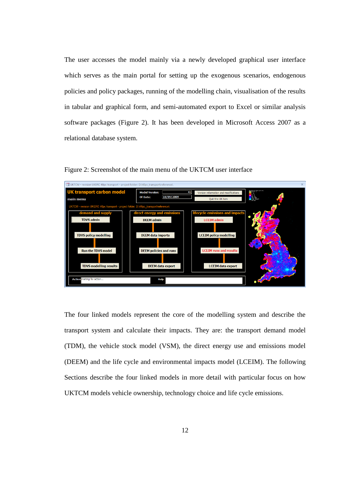The user accesses the model mainly via a newly developed graphical user interface which serves as the main portal for setting up the exogenous scenarios, endogenous policies and policy packages, running of the modelling chain, visualisation of the results in tabular and graphical form, and semi-automated export to Excel or similar analysis software packages (Figure 2). It has been developed in Microsoft Access 2007 as a relational database system.



Figure 2: Screenshot of the main menu of the UKTCM user interface

The four linked models represent the core of the modelling system and describe the transport system and calculate their impacts. They are: the transport demand model (TDM), the vehicle stock model (VSM), the direct energy use and emissions model (DEEM) and the life cycle and environmental impacts model (LCEIM). The following Sections describe the four linked models in more detail with particular focus on how UKTCM models vehicle ownership, technology choice and life cycle emissions.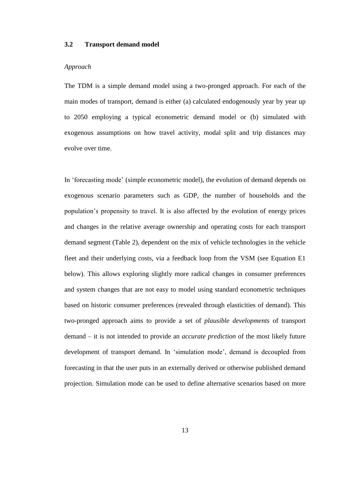### **3.2 Transport demand model**

#### *Approach*

The TDM is a simple demand model using a two-pronged approach. For each of the main modes of transport, demand is either (a) calculated endogenously year by year up to 2050 employing a typical econometric demand model or (b) simulated with exogenous assumptions on how travel activity, modal split and trip distances may evolve over time.

In 'forecasting mode' (simple econometric model), the evolution of demand depends on exogenous scenario parameters such as GDP, the number of households and the population's propensity to travel. It is also affected by the evolution of energy prices and changes in the relative average ownership and operating costs for each transport demand segment (Table 2), dependent on the mix of vehicle technologies in the vehicle fleet and their underlying costs, via a feedback loop from the VSM (see Equation E1 below). This allows exploring slightly more radical changes in consumer preferences and system changes that are not easy to model using standard econometric techniques based on historic consumer preferences (revealed through elasticities of demand). This two-pronged approach aims to provide a set of *plausible developments* of transport demand – it is not intended to provide an *accurate prediction* of the most likely future development of transport demand. In 'simulation mode', demand is decoupled from forecasting in that the user puts in an externally derived or otherwise published demand projection. Simulation mode can be used to define alternative scenarios based on more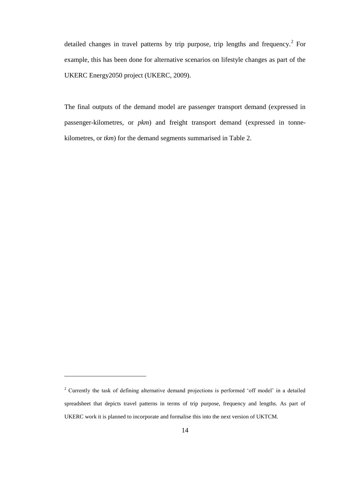detailed changes in travel patterns by trip purpose, trip lengths and frequency.<sup>2</sup> For example, this has been done for alternative scenarios on lifestyle changes as part of the UKERC Energy2050 project (UKERC, 2009).

The final outputs of the demand model are passenger transport demand (expressed in passenger-kilometres, or *pkm*) and freight transport demand (expressed in tonnekilometres, or *tkm*) for the demand segments summarised in Table 2.

 $\overline{a}$ 

<sup>&</sup>lt;sup>2</sup> Currently the task of defining alternative demand projections is performed 'off model' in a detailed spreadsheet that depicts travel patterns in terms of trip purpose, frequency and lengths. As part of UKERC work it is planned to incorporate and formalise this into the next version of UKTCM.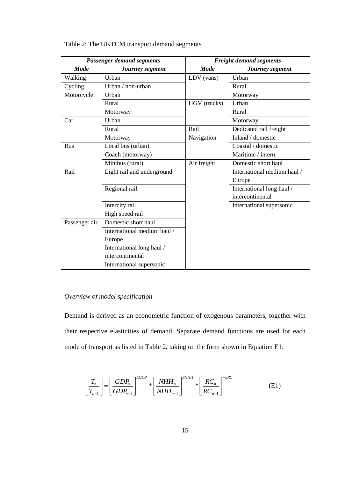| <b>Passenger demand segments</b> |                             | <b>Freight demand segments</b> |                             |  |
|----------------------------------|-----------------------------|--------------------------------|-----------------------------|--|
| <b>Mode</b>                      | Journey segment             | <b>Mode</b>                    | Journey segment             |  |
| Walking                          | Urban                       | LDV (vans)                     | Urban                       |  |
| Cycling                          | Urban / non-urban           |                                | Rural                       |  |
| Motorcycle                       | Urban                       |                                | Motorway                    |  |
|                                  | Rural                       | HGV (trucks)                   | Urban                       |  |
|                                  | Motorway                    |                                | Rural                       |  |
| Car                              | Urban                       |                                | Motorway                    |  |
|                                  | Rural                       | Rail                           | Dedicated rail freight      |  |
|                                  | Motorway                    | Navigation                     | Inland / domestic           |  |
| <b>Bus</b>                       | Local bus (urban)           |                                | Coastal / domestic          |  |
|                                  | Coach (motorway)            |                                | Maritime / intern.          |  |
|                                  | Minibus (rural)             | Air freight                    | Domestic short haul         |  |
| Rail                             | Light rail and underground  |                                | International medium haul / |  |
|                                  |                             |                                | Europe                      |  |
|                                  | Regional rail               |                                | International long haul /   |  |
|                                  |                             |                                | intercontinental            |  |
|                                  | Intercity rail              |                                | International supersonic    |  |
|                                  | High speed rail             |                                |                             |  |
| Passenger air                    | Domestic short haul         |                                |                             |  |
|                                  | International medium haul / |                                |                             |  |
|                                  | Europe                      |                                |                             |  |
|                                  | International long haul /   |                                |                             |  |
|                                  | intercontinental            |                                |                             |  |
|                                  | International supersonic    |                                |                             |  |

# Table 2: The UKTCM transport demand segments

# *Overview of model specification*

Demand is derived as an econometric function of exogenous parameters, together with their respective elasticities of demand. Separate demand functions are used for each mode of transport as listed in Table 2, taking on the form shown in Equation E1:

$$
\left[\frac{T_n}{T_{n-1}}\right] = \left[\frac{GDP_n}{GDP_{n-1}}\right]^{EGDP} * \left[\frac{NHH_n}{NHH_{n-1}}\right]^{ENHH} * \left[\frac{RC_n}{RC_{n-1}}\right]^{-ERC}
$$
\n(E1)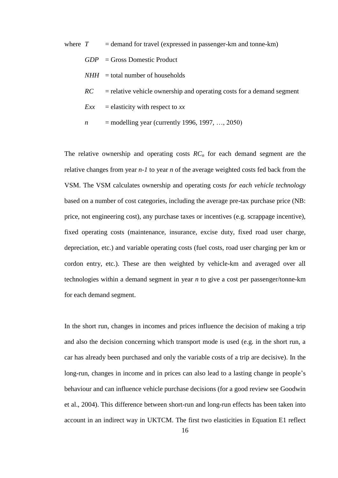where  $T =$  demand for travel (expressed in passenger-km and tonne-km)

- *GDP* = Gross Domestic Product
- *total number of households*
- $RC =$  relative vehicle ownership and operating costs for a demand segment
- $Exx =$  elasticity with respect to  $xx$
- $n$  = modelling year (currently 1996, 1997, ..., 2050)

The relative ownership and operating costs  $RC<sub>n</sub>$  for each demand segment are the relative changes from year *n-1* to year *n* of the average weighted costs fed back from the VSM. The VSM calculates ownership and operating costs *for each vehicle technology* based on a number of cost categories, including the average pre-tax purchase price (NB: price, not engineering cost), any purchase taxes or incentives (e.g. scrappage incentive), fixed operating costs (maintenance, insurance, excise duty, fixed road user charge, depreciation, etc.) and variable operating costs (fuel costs, road user charging per km or cordon entry, etc.). These are then weighted by vehicle-km and averaged over all technologies within a demand segment in year *n* to give a cost per passenger/tonne-km for each demand segment.

In the short run, changes in incomes and prices influence the decision of making a trip and also the decision concerning which transport mode is used (e.g. in the short run, a car has already been purchased and only the variable costs of a trip are decisive). In the long-run, changes in income and in prices can also lead to a lasting change in people's behaviour and can influence vehicle purchase decisions (for a good review see Goodwin et al., 2004). This difference between short-run and long-run effects has been taken into account in an indirect way in UKTCM. The first two elasticities in Equation E1 reflect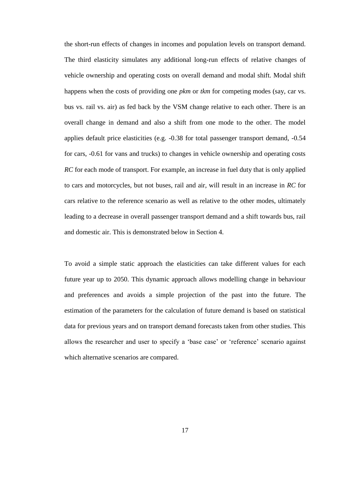the short-run effects of changes in incomes and population levels on transport demand. The third elasticity simulates any additional long-run effects of relative changes of vehicle ownership and operating costs on overall demand and modal shift. Modal shift happens when the costs of providing one *pkm* or *tkm* for competing modes (say, car vs. bus vs. rail vs. air) as fed back by the VSM change relative to each other. There is an overall change in demand and also a shift from one mode to the other. The model applies default price elasticities (e.g. -0.38 for total passenger transport demand, -0.54 for cars, -0.61 for vans and trucks) to changes in vehicle ownership and operating costs *RC* for each mode of transport. For example, an increase in fuel duty that is only applied to cars and motorcycles, but not buses, rail and air, will result in an increase in *RC* for cars relative to the reference scenario as well as relative to the other modes, ultimately leading to a decrease in overall passenger transport demand and a shift towards bus, rail and domestic air. This is demonstrated below in Section 4.

To avoid a simple static approach the elasticities can take different values for each future year up to 2050. This dynamic approach allows modelling change in behaviour and preferences and avoids a simple projection of the past into the future. The estimation of the parameters for the calculation of future demand is based on statistical data for previous years and on transport demand forecasts taken from other studies. This allows the researcher and user to specify a 'base case' or 'reference' scenario against which alternative scenarios are compared.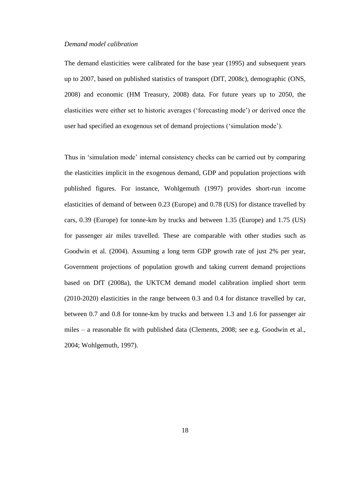### *Demand model calibration*

The demand elasticities were calibrated for the base year (1995) and subsequent years up to 2007, based on published statistics of transport (DfT, 2008c), demographic (ONS, 2008) and economic (HM Treasury, 2008) data. For future years up to 2050, the elasticities were either set to historic averages ('forecasting mode') or derived once the user had specified an exogenous set of demand projections ('simulation mode').

Thus in 'simulation mode' internal consistency checks can be carried out by comparing the elasticities implicit in the exogenous demand, GDP and population projections with published figures. For instance, Wohlgemuth (1997) provides short-run income elasticities of demand of between 0.23 (Europe) and 0.78 (US) for distance travelled by cars, 0.39 (Europe) for tonne-km by trucks and between 1.35 (Europe) and 1.75 (US) for passenger air miles travelled. These are comparable with other studies such as Goodwin et al. (2004). Assuming a long term GDP growth rate of just 2% per year, Government projections of population growth and taking current demand projections based on DfT (2008a), the UKTCM demand model calibration implied short term (2010-2020) elasticities in the range between 0.3 and 0.4 for distance travelled by car, between 0.7 and 0.8 for tonne-km by trucks and between 1.3 and 1.6 for passenger air miles – a reasonable fit with published data (Clements, 2008; see e.g. Goodwin et al., 2004; Wohlgemuth, 1997).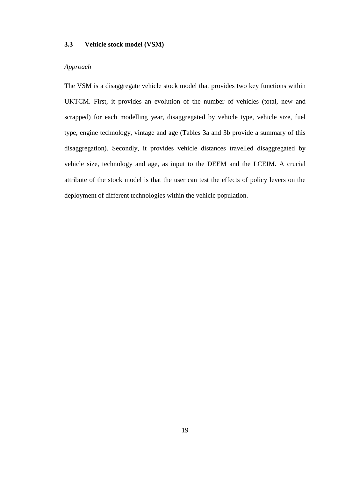## **3.3 Vehicle stock model (VSM)**

## *Approach*

The VSM is a disaggregate vehicle stock model that provides two key functions within UKTCM. First, it provides an evolution of the number of vehicles (total, new and scrapped) for each modelling year, disaggregated by vehicle type, vehicle size, fuel type, engine technology, vintage and age (Tables 3a and 3b provide a summary of this disaggregation). Secondly, it provides vehicle distances travelled disaggregated by vehicle size, technology and age, as input to the DEEM and the LCEIM. A crucial attribute of the stock model is that the user can test the effects of policy levers on the deployment of different technologies within the vehicle population.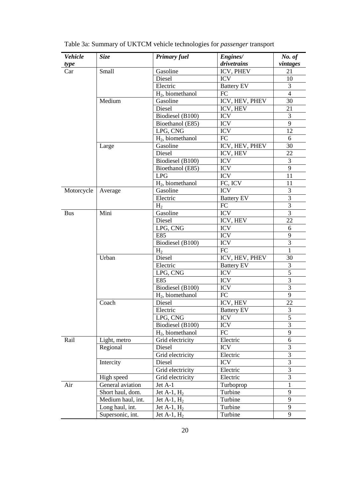| <b>Vehicle</b> | <b>Size</b>       | <b>Primary fuel</b>            | Engines/          | No. of         |
|----------------|-------------------|--------------------------------|-------------------|----------------|
| type           |                   |                                | drivetrains       | vintages       |
| Car            | <b>Small</b>      | Gasoline                       | ICV, PHEV         | 21             |
|                |                   | Diesel                         | <b>ICV</b>        | 10             |
|                |                   | Electric                       | <b>Battery EV</b> | 3              |
|                |                   | H <sub>2</sub> , biomethanol   | FC                | $\overline{4}$ |
|                | Medium            | Gasoline                       | ICV, HEV, PHEV    | 30             |
|                |                   | Diesel                         | ICV, HEV          | 21             |
|                |                   | Biodiesel (B100)               | <b>ICV</b>        | 3              |
|                |                   | Bioethanol (E85)               | <b>ICV</b>        | 9              |
|                |                   | LPG, CNG                       | <b>ICV</b>        | 12             |
|                |                   | $H2$ , biomethanol             | FC                | 6              |
|                | Large             | Gasoline                       | ICV, HEV, PHEV    | 30             |
|                |                   | Diesel                         | ICV, HEV          | 22             |
|                |                   | Biodiesel (B100)               | <b>ICV</b>        | 3              |
|                |                   | Bioethanol (E85)               | <b>ICV</b>        | 9              |
|                |                   | LPG                            | <b>ICV</b>        | 11             |
|                |                   | H <sub>2</sub> , biomethanol   | FC, ICV           | 11             |
| Motorcycle     | Average           | Gasoline                       | <b>ICV</b>        | 3              |
|                |                   | Electric                       | <b>Battery EV</b> | $\overline{3}$ |
|                |                   | H <sub>2</sub>                 | FC                | $\overline{3}$ |
| <b>Bus</b>     | Mini              | Gasoline                       | <b>ICV</b>        | 3              |
|                |                   | ICV, HEV<br>Diesel             |                   | 22             |
|                |                   | LPG, CNG                       | <b>ICV</b>        | 6              |
|                |                   | E85                            | <b>ICV</b>        | 9              |
|                |                   | Biodiesel (B100)               | <b>ICV</b>        | 3              |
|                |                   | H <sub>2</sub>                 | FC                | $\mathbf{1}$   |
|                | Urban             | Diesel                         | ICV, HEV, PHEV    | 30             |
|                |                   | Electric                       | <b>Battery EV</b> | 3              |
|                |                   | LPG, CNG                       | <b>ICV</b>        | 5              |
|                |                   | E85                            | <b>ICV</b>        | 3              |
|                |                   | Biodiesel (B100)<br><b>ICV</b> |                   | 3              |
|                |                   | $H2$ , biomethanol             | FC                | 9              |
|                | Coach             | Diesel                         | ICV, HEV          | 22             |
|                |                   | Electric                       | <b>Battery EV</b> | 3              |
|                |                   | LPG, CNG                       | <b>ICV</b>        | 5              |
|                |                   | Biodiesel (B100)<br><b>ICV</b> |                   | 3              |
|                |                   | $H2$ , biomethanol             | FC                | 9              |
| Rail           | Light, metro      | Grid electricity               | Electric          | 6              |
|                | Regional          | Diesel                         | <b>ICV</b>        | 3              |
|                |                   | Grid electricity               | Electric          | 3              |
|                | Intercity         | Diesel                         | <b>ICV</b>        | 3              |
|                |                   | Grid electricity               | Electric          | 3              |
|                | High speed        | Grid electricity               | Electric          | 3              |
| Air            | General aviation  | Jet A-1                        | Turboprop         | 1              |
|                |                   |                                | Turbine           | 9              |
|                | Short haul, dom.  | Jet A-1, $H_2$                 | Turbine           | 9              |
|                | Medium haul, int. | Jet A-1, $H_2$                 |                   | 9              |
|                | Long haul, int.   | Turbine<br>Jet A-1, $H_2$      |                   |                |
|                | Supersonic, int.  | Jet A-1, $H_2$                 | Turbine           | 9              |

Table 3a: Summary of UKTCM vehicle technologies for *passenger* transport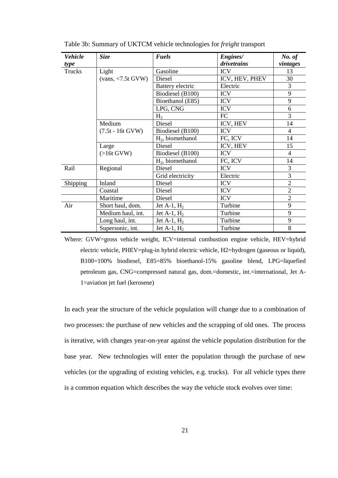| <b>Vehicle</b> | <b>Size</b>         | <b>Fuels</b>                 | Engines/       | No. of                   |
|----------------|---------------------|------------------------------|----------------|--------------------------|
| type           |                     |                              | drivetrains    | vintages                 |
| Trucks         | Light               | Gasoline                     | <b>ICV</b>     | 13                       |
|                | $(vans, <7.5t$ GVW) | Diesel                       | ICV, HEV, PHEV | 30                       |
|                |                     | Battery electric             | Electric       | 3                        |
|                |                     | Biodiesel (B100)             | <b>ICV</b>     | 9                        |
|                |                     | Bioethanol (E85)             | <b>ICV</b>     | 9                        |
|                |                     | LPG, CNG                     | <b>ICV</b>     | 6                        |
|                |                     | H <sub>2</sub>               | FC             | 3                        |
|                | Medium              | <b>Diesel</b>                | ICV, HEV       | 14                       |
|                | $(7.5t - 16t$ GVW)  | Biodiesel (B100)             | <b>ICV</b>     | $\overline{\mathcal{A}}$ |
|                |                     | $H2$ , biomethanol           | FC, ICV        | 14                       |
|                | Large               | Diesel                       | ICV, HEV       | 15                       |
|                | $(>16t$ GVW)        | Biodiesel (B100)             | <b>ICV</b>     | $\overline{\mathcal{A}}$ |
|                |                     | H <sub>2</sub> , biomethanol | FC, ICV        | 14                       |
| Rail           | Regional            | Diesel                       | <b>ICV</b>     | 3                        |
|                |                     | Grid electricity             | Electric       | 3                        |
| Shipping       | Inland              | Diesel                       | <b>ICV</b>     | $\overline{2}$           |
|                | Coastal             | Diesel                       | <b>ICV</b>     | $\overline{2}$           |
|                | Maritime            | Diesel                       | <b>ICV</b>     | $\overline{2}$           |
| Air            | Short haul, dom.    | Jet A-1, $H_2$               | Turbine        | 9                        |
|                | Medium haul, int.   | Jet A-1, $H_2$               | Turbine        | 9                        |
|                | Long haul, int.     | Jet A-1, $H_2$               | Turbine        | 9                        |
|                | Supersonic, int.    | Jet A-1, $H_2$               | Turbine        | 8                        |

Table 3b: Summary of UKTCM vehicle technologies for *freight* transport

Where: GVW=gross vehicle weight, ICV=internal combustion engine vehicle, HEV=hybrid electric vehicle, PHEV=plug-in hybrid electric vehicle, H2=hydrogen (gaseous or liquid), B100=100% biodiesel, E85=85% bioethanol-15% gasoline blend, LPG=liquefied petroleum gas, CNG=compressed natural gas, dom.=domestic, int.=international, Jet A-1=aviation jet fuel (kerosene)

In each year the structure of the vehicle population will change due to a combination of two processes: the purchase of new vehicles and the scrapping of old ones. The process is iterative, with changes year-on-year against the vehicle population distribution for the base year. New technologies will enter the population through the purchase of new vehicles (or the upgrading of existing vehicles, e.g. trucks). For all vehicle types there is a common equation which describes the way the vehicle stock evolves over time: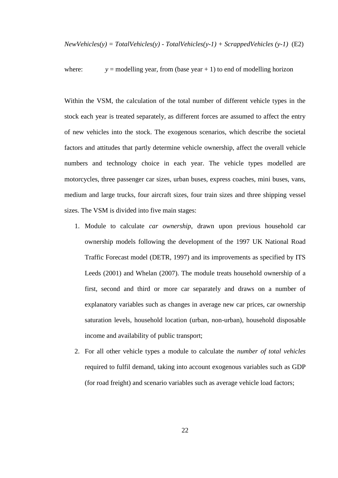*NewVehicles(y) = TotalVehicles(y) - TotalVehicles(y-1) + ScrappedVehicles (y-1)* (E2)

where:  $y =$  modelling year, from (base year + 1) to end of modelling horizon

Within the VSM, the calculation of the total number of different vehicle types in the stock each year is treated separately, as different forces are assumed to affect the entry of new vehicles into the stock. The exogenous scenarios, which describe the societal factors and attitudes that partly determine vehicle ownership, affect the overall vehicle numbers and technology choice in each year. The vehicle types modelled are motorcycles, three passenger car sizes, urban buses, express coaches, mini buses, vans, medium and large trucks, four aircraft sizes, four train sizes and three shipping vessel sizes. The VSM is divided into five main stages:

- 1. Module to calculate *car ownership*, drawn upon previous household car ownership models following the development of the 1997 UK National Road Traffic Forecast model (DETR, 1997) and its improvements as specified by ITS Leeds (2001) and Whelan (2007). The module treats household ownership of a first, second and third or more car separately and draws on a number of explanatory variables such as changes in average new car prices, car ownership saturation levels, household location (urban, non-urban), household disposable income and availability of public transport;
- 2. For all other vehicle types a module to calculate the *number of total vehicles* required to fulfil demand, taking into account exogenous variables such as GDP (for road freight) and scenario variables such as average vehicle load factors;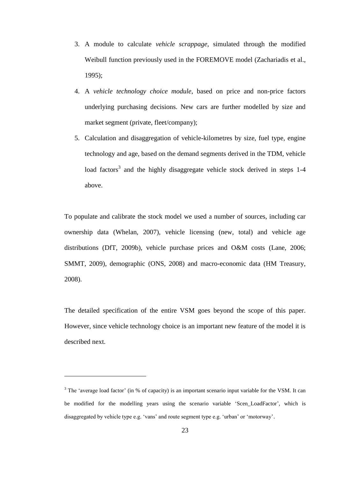- 3. A module to calculate *vehicle scrappage*, simulated through the modified Weibull function previously used in the FOREMOVE model (Zachariadis et al., 1995);
- 4. A *vehicle technology choice module*, based on price and non-price factors underlying purchasing decisions. New cars are further modelled by size and market segment (private, fleet/company);
- 5. Calculation and disaggregation of vehicle-kilometres by size, fuel type, engine technology and age, based on the demand segments derived in the TDM, vehicle load factors<sup>3</sup> and the highly disaggregate vehicle stock derived in steps 1-4 above.

To populate and calibrate the stock model we used a number of sources, including car ownership data (Whelan, 2007), vehicle licensing (new, total) and vehicle age distributions (DfT, 2009b), vehicle purchase prices and O&M costs (Lane, 2006; SMMT, 2009), demographic (ONS, 2008) and macro-economic data (HM Treasury, 2008).

The detailed specification of the entire VSM goes beyond the scope of this paper. However, since vehicle technology choice is an important new feature of the model it is described next.

 $\overline{a}$ 

<sup>&</sup>lt;sup>3</sup> The 'average load factor' (in % of capacity) is an important scenario input variable for the VSM. It can be modified for the modelling years using the scenario variable 'Scen\_LoadFactor', which is disaggregated by vehicle type e.g. 'vans' and route segment type e.g. 'urban' or 'motorway'.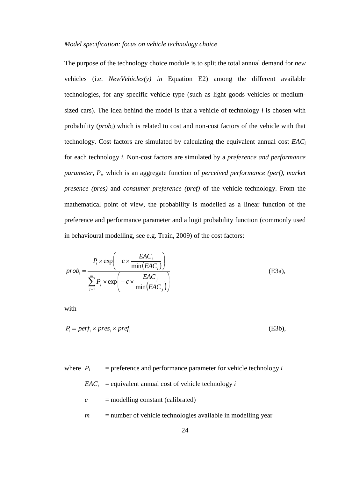#### *Model specification: focus on vehicle technology choice*

The purpose of the technology choice module is to split the total annual demand for *new* vehicles (i.e. *NewVehicles(y) in* Equation E2) among the different available technologies, for any specific vehicle type (such as light goods vehicles or mediumsized cars). The idea behind the model is that a vehicle of technology *i* is chosen with probability (*probi*) which is related to cost and non-cost factors of the vehicle with that technology. Cost factors are simulated by calculating the equivalent annual cost *EAC<sup>i</sup>* for each technology *i*. Non-cost factors are simulated by a *preference and performance parameter*, *P<sup>i</sup>* , which is an aggregate function of *perceived performance (perf), market presence (pres)* and *consumer preference (pref)* of the vehicle technology. From the mathematical point of view, the probability is modelled as a linear function of the preference and performance parameter and a logit probability function (commonly used in behavioural modelling, see e.g. Train, 2009) of the cost factors:

$$
prob_i = \frac{P_i \times \exp\left(-c \times \frac{EAC_i}{\min(EAC_i)}\right)}{\sum_{j=1}^{m} P_j \times \exp\left(-c \times \frac{EAC_j}{\min(EAC_j)}\right)}
$$
(E3a),

with

$$
P_i = perf_i \times pres_i \times pref_i \tag{E3b},
$$

where  $P_i$  = preference and performance parameter for vehicle technology *i* 

$$
EAC_i = \text{equivalent annual cost of vehicle technology } i
$$

- $c$  = modelling constant (calibrated)
- $m =$  number of vehicle technologies available in modelling year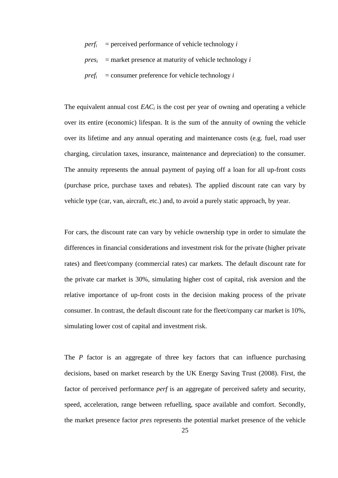$perf<sub>i</sub>$  = perceived performance of vehicle technology *i* 

 $pres<sub>i</sub>$  = market presence at maturity of vehicle technology *i* 

 $pref<sub>i</sub>$  = consumer preference for vehicle technology *i* 

The equivalent annual cost *EAC<sup>i</sup>* is the cost per year of owning and operating a vehicle over its entire (economic) lifespan. It is the sum of the annuity of owning the vehicle over its lifetime and any annual operating and maintenance costs (e.g. fuel, road user charging, circulation taxes, insurance, maintenance and depreciation) to the consumer. The annuity represents the annual payment of paying off a loan for all up-front costs (purchase price, purchase taxes and rebates). The applied discount rate can vary by vehicle type (car, van, aircraft, etc.) and, to avoid a purely static approach, by year.

For cars, the discount rate can vary by vehicle ownership type in order to simulate the differences in financial considerations and investment risk for the private (higher private rates) and fleet/company (commercial rates) car markets. The default discount rate for the private car market is 30%, simulating higher cost of capital, risk aversion and the relative importance of up-front costs in the decision making process of the private consumer. In contrast, the default discount rate for the fleet/company car market is 10%, simulating lower cost of capital and investment risk.

The *P* factor is an aggregate of three key factors that can influence purchasing decisions, based on market research by the UK Energy Saving Trust (2008). First, the factor of perceived performance *perf* is an aggregate of perceived safety and security, speed, acceleration, range between refuelling, space available and comfort. Secondly, the market presence factor *pres* represents the potential market presence of the vehicle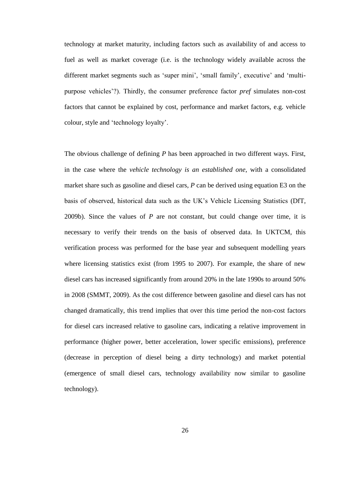technology at market maturity, including factors such as availability of and access to fuel as well as market coverage (i.e. is the technology widely available across the different market segments such as 'super mini', 'small family', executive' and 'multipurpose vehicles'?). Thirdly, the consumer preference factor *pref* simulates non-cost factors that cannot be explained by cost, performance and market factors, e.g. vehicle colour, style and 'technology loyalty'.

The obvious challenge of defining *P* has been approached in two different ways. First, in the case where the *vehicle technology is an established one*, with a consolidated market share such as gasoline and diesel cars, *P* can be derived using equation E3 on the basis of observed, historical data such as the UK's Vehicle Licensing Statistics (DfT, 2009b). Since the values of *P* are not constant, but could change over time, it is necessary to verify their trends on the basis of observed data. In UKTCM, this verification process was performed for the base year and subsequent modelling years where licensing statistics exist (from 1995 to 2007). For example, the share of new diesel cars has increased significantly from around 20% in the late 1990s to around 50% in 2008 (SMMT, 2009). As the cost difference between gasoline and diesel cars has not changed dramatically, this trend implies that over this time period the non-cost factors for diesel cars increased relative to gasoline cars, indicating a relative improvement in performance (higher power, better acceleration, lower specific emissions), preference (decrease in perception of diesel being a dirty technology) and market potential (emergence of small diesel cars, technology availability now similar to gasoline technology).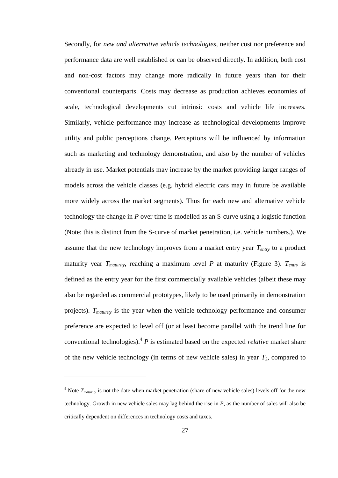Secondly, for *new and alternative vehicle technologies*, neither cost nor preference and performance data are well established or can be observed directly. In addition, both cost and non-cost factors may change more radically in future years than for their conventional counterparts. Costs may decrease as production achieves economies of scale, technological developments cut intrinsic costs and vehicle life increases. Similarly, vehicle performance may increase as technological developments improve utility and public perceptions change. Perceptions will be influenced by information such as marketing and technology demonstration, and also by the number of vehicles already in use. Market potentials may increase by the market providing larger ranges of models across the vehicle classes (e.g. hybrid electric cars may in future be available more widely across the market segments). Thus for each new and alternative vehicle technology the change in *P* over time is modelled as an S-curve using a logistic function (Note: this is distinct from the S-curve of market penetration, i.e. vehicle numbers.). We assume that the new technology improves from a market entry year *Tentry* to a product maturity year  $T_{\text{matrix}}$ , reaching a maximum level *P* at maturity (Figure 3).  $T_{\text{entry}}$  is defined as the entry year for the first commercially available vehicles (albeit these may also be regarded as commercial prototypes, likely to be used primarily in demonstration projects). *T<sub>maturity</sub>* is the year when the vehicle technology performance and consumer preference are expected to level off (or at least become parallel with the trend line for conventional technologies).<sup>4</sup> *P* is estimated based on the expected *relative* market share of the new vehicle technology (in terms of new vehicle sales) in year  $T_2$ , compared to

 $\overline{a}$ 

 $4$  Note  $T_{\text{maturity}}$  is not the date when market penetration (share of new vehicle sales) levels off for the new technology. Growth in new vehicle sales may lag behind the rise in *P*, as the number of sales will also be critically dependent on differences in technology costs and taxes.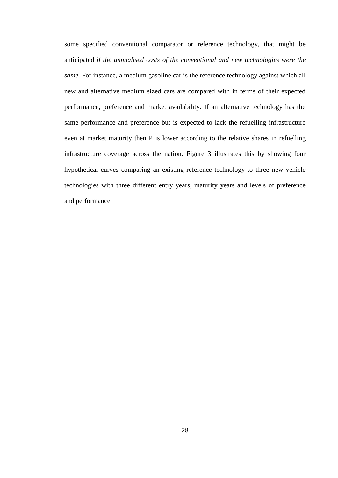some specified conventional comparator or reference technology, that might be anticipated *if the annualised costs of the conventional and new technologies were the same*. For instance, a medium gasoline car is the reference technology against which all new and alternative medium sized cars are compared with in terms of their expected performance, preference and market availability. If an alternative technology has the same performance and preference but is expected to lack the refuelling infrastructure even at market maturity then P is lower according to the relative shares in refuelling infrastructure coverage across the nation. Figure 3 illustrates this by showing four hypothetical curves comparing an existing reference technology to three new vehicle technologies with three different entry years, maturity years and levels of preference and performance.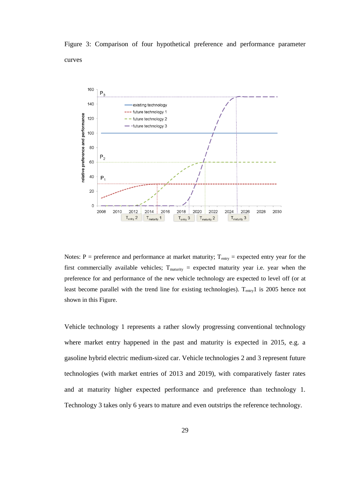Figure 3: Comparison of four hypothetical preference and performance parameter curves



Notes: P = preference and performance at market maturity;  $T_{\text{entry}}$  = expected entry year for the first commercially available vehicles;  $T_{\text{matrix}}$  = expected maturity year i.e. year when the preference for and performance of the new vehicle technology are expected to level off (or at least become parallel with the trend line for existing technologies).  $T_{\text{entry}}1$  is 2005 hence not shown in this Figure.

Vehicle technology 1 represents a rather slowly progressing conventional technology where market entry happened in the past and maturity is expected in 2015, e.g. a gasoline hybrid electric medium-sized car. Vehicle technologies 2 and 3 represent future technologies (with market entries of 2013 and 2019), with comparatively faster rates and at maturity higher expected performance and preference than technology 1. Technology 3 takes only 6 years to mature and even outstrips the reference technology.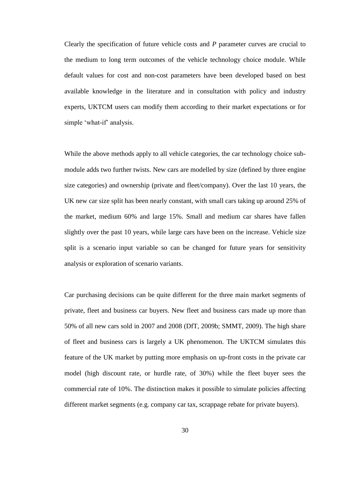Clearly the specification of future vehicle costs and *P* parameter curves are crucial to the medium to long term outcomes of the vehicle technology choice module. While default values for cost and non-cost parameters have been developed based on best available knowledge in the literature and in consultation with policy and industry experts, UKTCM users can modify them according to their market expectations or for simple 'what-if' analysis.

While the above methods apply to all vehicle categories, the car technology choice submodule adds two further twists. New cars are modelled by size (defined by three engine size categories) and ownership (private and fleet/company). Over the last 10 years, the UK new car size split has been nearly constant, with small cars taking up around 25% of the market, medium 60% and large 15%. Small and medium car shares have fallen slightly over the past 10 years, while large cars have been on the increase. Vehicle size split is a scenario input variable so can be changed for future years for sensitivity analysis or exploration of scenario variants.

Car purchasing decisions can be quite different for the three main market segments of private, fleet and business car buyers. New fleet and business cars made up more than 50% of all new cars sold in 2007 and 2008 (DfT, 2009b; SMMT, 2009). The high share of fleet and business cars is largely a UK phenomenon. The UKTCM simulates this feature of the UK market by putting more emphasis on up-front costs in the private car model (high discount rate, or hurdle rate, of 30%) while the fleet buyer sees the commercial rate of 10%. The distinction makes it possible to simulate policies affecting different market segments (e.g. company car tax, scrappage rebate for private buyers).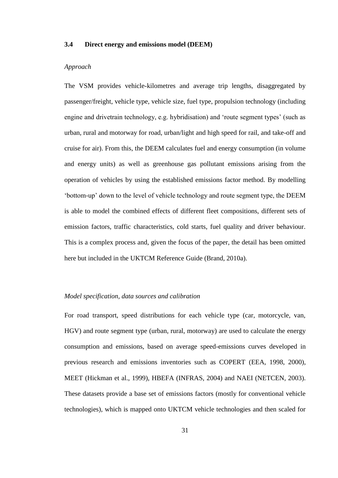#### **3.4 Direct energy and emissions model (DEEM)**

#### *Approach*

The VSM provides vehicle-kilometres and average trip lengths, disaggregated by passenger/freight, vehicle type, vehicle size, fuel type, propulsion technology (including engine and drivetrain technology, e.g. hybridisation) and 'route segment types' (such as urban, rural and motorway for road, urban/light and high speed for rail, and take-off and cruise for air). From this, the DEEM calculates fuel and energy consumption (in volume and energy units) as well as greenhouse gas pollutant emissions arising from the operation of vehicles by using the established emissions factor method. By modelling 'bottom-up' down to the level of vehicle technology and route segment type, the DEEM is able to model the combined effects of different fleet compositions, different sets of emission factors, traffic characteristics, cold starts, fuel quality and driver behaviour. This is a complex process and, given the focus of the paper, the detail has been omitted here but included in the UKTCM Reference Guide (Brand, 2010a).

### *Model specification, data sources and calibration*

For road transport, speed distributions for each vehicle type (car, motorcycle, van, HGV) and route segment type (urban, rural, motorway) are used to calculate the energy consumption and emissions, based on average speed-emissions curves developed in previous research and emissions inventories such as COPERT (EEA, 1998, 2000), MEET (Hickman et al., 1999), HBEFA (INFRAS, 2004) and NAEI (NETCEN, 2003). These datasets provide a base set of emissions factors (mostly for conventional vehicle technologies), which is mapped onto UKTCM vehicle technologies and then scaled for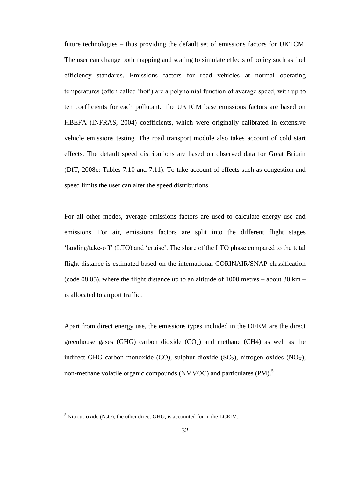future technologies – thus providing the default set of emissions factors for UKTCM. The user can change both mapping and scaling to simulate effects of policy such as fuel efficiency standards. Emissions factors for road vehicles at normal operating temperatures (often called 'hot') are a polynomial function of average speed, with up to ten coefficients for each pollutant. The UKTCM base emissions factors are based on HBEFA (INFRAS, 2004) coefficients, which were originally calibrated in extensive vehicle emissions testing. The road transport module also takes account of cold start effects. The default speed distributions are based on observed data for Great Britain (DfT, 2008c: Tables 7.10 and 7.11). To take account of effects such as congestion and speed limits the user can alter the speed distributions.

For all other modes, average emissions factors are used to calculate energy use and emissions. For air, emissions factors are split into the different flight stages 'landing/take-off' (LTO) and 'cruise'. The share of the LTO phase compared to the total flight distance is estimated based on the international CORINAIR/SNAP classification (code 08 05), where the flight distance up to an altitude of 1000 metres – about 30 km – is allocated to airport traffic.

Apart from direct energy use, the emissions types included in the DEEM are the direct greenhouse gases (GHG) carbon dioxide  $(CO<sub>2</sub>)$  and methane (CH4) as well as the indirect GHG carbon monoxide (CO), sulphur dioxide  $(SO_2)$ , nitrogen oxides  $(NO_X)$ , non-methane volatile organic compounds (NMVOC) and particulates (PM).<sup>5</sup>

 $\overline{a}$ 

<sup>&</sup>lt;sup>5</sup> Nitrous oxide (N<sub>2</sub>O), the other direct GHG, is accounted for in the LCEIM.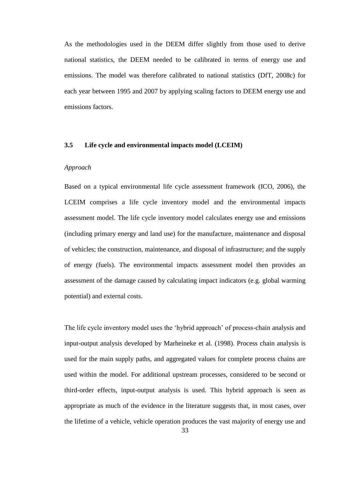As the methodologies used in the DEEM differ slightly from those used to derive national statistics, the DEEM needed to be calibrated in terms of energy use and emissions. The model was therefore calibrated to national statistics (DfT, 2008c) for each year between 1995 and 2007 by applying scaling factors to DEEM energy use and emissions factors.

#### **3.5 Life cycle and environmental impacts model (LCEIM)**

### *Approach*

Based on a typical environmental life cycle assessment framework (ICO, 2006), the LCEIM comprises a life cycle inventory model and the environmental impacts assessment model. The life cycle inventory model calculates energy use and emissions (including primary energy and land use) for the manufacture, maintenance and disposal of vehicles; the construction, maintenance, and disposal of infrastructure; and the supply of energy (fuels). The environmental impacts assessment model then provides an assessment of the damage caused by calculating impact indicators (e.g. global warming potential) and external costs.

The life cycle inventory model uses the 'hybrid approach' of process-chain analysis and input-output analysis developed by Marheineke et al. (1998). Process chain analysis is used for the main supply paths, and aggregated values for complete process chains are used within the model. For additional upstream processes, considered to be second or third-order effects, input-output analysis is used. This hybrid approach is seen as appropriate as much of the evidence in the literature suggests that, in most cases, over the lifetime of a vehicle, vehicle operation produces the vast majority of energy use and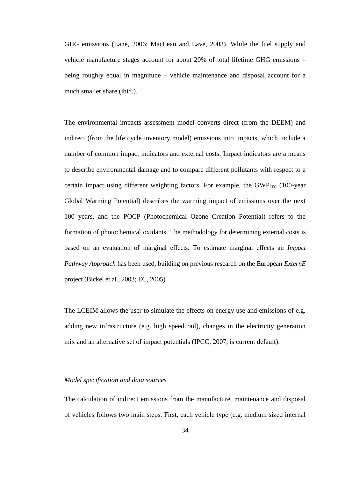GHG emissions (Lane, 2006; MacLean and Lave, 2003). While the fuel supply and vehicle manufacture stages account for about 20% of total lifetime GHG emissions – being roughly equal in magnitude – vehicle maintenance and disposal account for a much smaller share (ibid.).

The environmental impacts assessment model converts direct (from the DEEM) and indirect (from the life cycle inventory model) emissions into impacts, which include a number of common impact indicators and external costs. Impact indicators are a means to describe environmental damage and to compare different pollutants with respect to a certain impact using different weighting factors. For example, the  $GWP<sub>100</sub>$  (100-year Global Warming Potential) describes the warming impact of emissions over the next 100 years, and the POCP (Photochemical Ozone Creation Potential) refers to the formation of photochemical oxidants. The methodology for determining external costs is based on an evaluation of marginal effects. To estimate marginal effects an *Impact Pathway Approach* has been used, building on previous research on the European *ExternE* project (Bickel et al., 2003; EC, 2005).

The LCEIM allows the user to simulate the effects on energy use and emissions of e.g. adding new infrastructure (e.g. high speed rail), changes in the electricity generation mix and an alternative set of impact potentials (IPCC, 2007, is current default).

### *Model specification and data sources*

The calculation of indirect emissions from the manufacture, maintenance and disposal of vehicles follows two main steps. First, each vehicle type (e.g. medium sized internal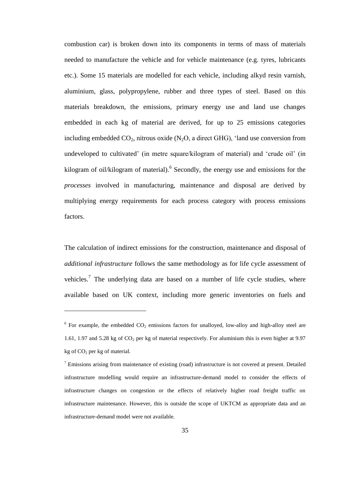combustion car) is broken down into its components in terms of mass of materials needed to manufacture the vehicle and for vehicle maintenance (e.g. tyres, lubricants etc.). Some 15 materials are modelled for each vehicle, including alkyd resin varnish, aluminium, glass, polypropylene, rubber and three types of steel. Based on this materials breakdown, the emissions, primary energy use and land use changes embedded in each kg of material are derived, for up to 25 emissions categories including embedded  $CO_2$ , nitrous oxide (N<sub>2</sub>O, a direct GHG), 'land use conversion from undeveloped to cultivated' (in metre square/kilogram of material) and 'crude oil' (in kilogram of oil/kilogram of material). <sup>6</sup> Secondly, the energy use and emissions for the *processes* involved in manufacturing, maintenance and disposal are derived by multiplying energy requirements for each process category with process emissions factors.

The calculation of indirect emissions for the construction, maintenance and disposal of *additional infrastructure* follows the same methodology as for life cycle assessment of vehicles.<sup>7</sup> The underlying data are based on a number of life cycle studies, where available based on UK context, including more generic inventories on fuels and

 $\overline{a}$ 

 $6$  For example, the embedded  $CO_2$  emissions factors for unalloyed, low-alloy and high-alloy steel are 1.61, 1.97 and 5.28 kg of  $CO<sub>2</sub>$  per kg of material respectively. For aluminium this is even higher at 9.97 kg of  $CO<sub>2</sub>$  per kg of material.

<sup>&</sup>lt;sup>7</sup> Emissions arising from maintenance of existing (road) infrastructure is not covered at present. Detailed infrastructure modelling would require an infrastructure-demand model to consider the effects of infrastructure changes on congestion or the effects of relatively higher road freight traffic on infrastructure maintenance. However, this is outside the scope of UKTCM as appropriate data and an infrastructure-demand model were not available.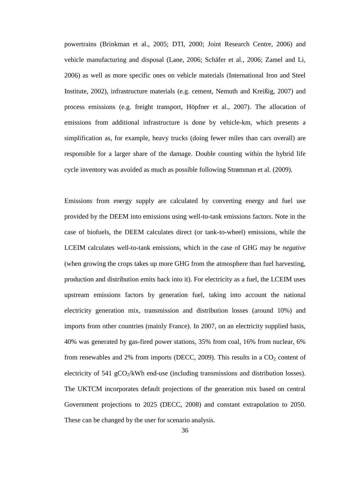powertrains (Brinkman et al., 2005; DTI, 2000; Joint Research Centre, 2006) and vehicle manufacturing and disposal (Lane, 2006; Schäfer et al., 2006; Zamel and Li, 2006) as well as more specific ones on vehicle materials (International Iron and Steel Institute, 2002), infrastructure materials (e.g. cement, Nemuth and Kreißig, 2007) and process emissions (e.g. freight transport, Höpfner et al., 2007). The allocation of emissions from additional infrastructure is done by vehicle-km, which presents a simplification as, for example, heavy trucks (doing fewer miles than cars overall) are responsible for a larger share of the damage. Double counting within the hybrid life cycle inventory was avoided as much as possible following Strømman et al. (2009).

Emissions from energy supply are calculated by converting energy and fuel use provided by the DEEM into emissions using well-to-tank emissions factors. Note in the case of biofuels, the DEEM calculates direct (or tank-to-wheel) emissions, while the LCEIM calculates well-to-tank emissions, which in the case of GHG may be *negative* (when growing the crops takes up more GHG from the atmosphere than fuel harvesting, production and distribution emits back into it). For electricity as a fuel, the LCEIM uses upstream emissions factors by generation fuel, taking into account the national electricity generation mix, transmission and distribution losses (around 10%) and imports from other countries (mainly France). In 2007, on an electricity supplied basis, 40% was generated by gas-fired power stations, 35% from coal, 16% from nuclear, 6% from renewables and 2% from imports (DECC, 2009). This results in a  $CO<sub>2</sub>$  content of electricity of 541  $gCO<sub>2</sub>/kWh$  end-use (including transmissions and distribution losses). The UKTCM incorporates default projections of the generation mix based on central Government projections to 2025 (DECC, 2008) and constant extrapolation to 2050. These can be changed by the user for scenario analysis.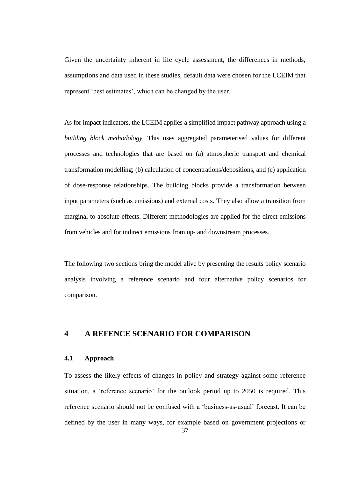Given the uncertainty inherent in life cycle assessment, the differences in methods, assumptions and data used in these studies, default data were chosen for the LCEIM that represent 'best estimates', which can be changed by the user.

As for impact indicators, the LCEIM applies a simplified impact pathway approach using a *building block methodology*. This uses aggregated parameterised values for different processes and technologies that are based on (a) atmospheric transport and chemical transformation modelling; (b) calculation of concentrations/depositions, and (c) application of dose-response relationships. The building blocks provide a transformation between input parameters (such as emissions) and external costs. They also allow a transition from marginal to absolute effects. Different methodologies are applied for the direct emissions from vehicles and for indirect emissions from up- and downstream processes.

The following two sections bring the model alive by presenting the results policy scenario analysis involving a reference scenario and four alternative policy scenarios for comparison.

## **4 A REFENCE SCENARIO FOR COMPARISON**

## **4.1 Approach**

To assess the likely effects of changes in policy and strategy against some reference situation, a 'reference scenario' for the outlook period up to 2050 is required. This reference scenario should not be confused with a 'business-as-usual' forecast. It can be defined by the user in many ways, for example based on government projections or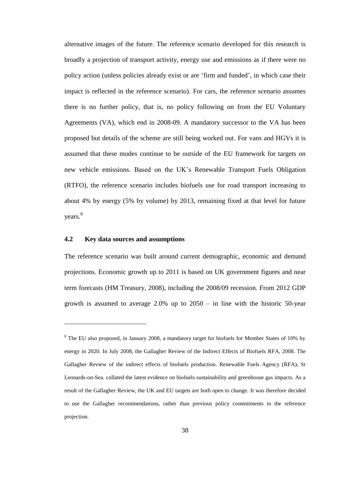alternative images of the future. The reference scenario developed for this research is broadly a projection of transport activity, energy use and emissions as if there were no policy action (unless policies already exist or are 'firm and funded', in which case their impact is reflected in the reference scenario). For cars, the reference scenario assumes there is no further policy, that is, no policy following on from the EU Voluntary Agreements (VA), which end in 2008-09. A mandatory successor to the VA has been proposed but details of the scheme are still being worked out. For vans and HGVs it is assumed that these modes continue to be outside of the EU framework for targets on new vehicle emissions. Based on the UK's Renewable Transport Fuels Obligation (RTFO), the reference scenario includes biofuels use for road transport increasing to about 4% by energy (5% by volume) by 2013, remaining fixed at that level for future years. 8

### **4.2 Key data sources and assumptions**

 $\overline{a}$ 

The reference scenario was built around current demographic, economic and demand projections. Economic growth up to 2011 is based on UK government figures and near term forecasts (HM Treasury, 2008), including the 2008/09 recession. From 2012 GDP growth is assumed to average  $2.0\%$  up to  $2050 - in$  line with the historic 50-year

<sup>&</sup>lt;sup>8</sup> The EU also proposed, in January 2008, a mandatory target for biofuels for Member States of 10% by energy in 2020. In July 2008, the Gallagher Review of the Indirect Effects of Biofuels RFA, 2008. The Gallagher Review of the indirect effects of biofuels production. Renewable Fuels Agency (RFA), St Leonards-on-Sea. collated the latest evidence on biofuels sustainability and greenhouse gas impacts. As a result of the Gallagher Review, the UK and EU targets are both open to change. It was therefore decided to use the Gallagher recommendations, rather than previous policy commitments in the reference projection.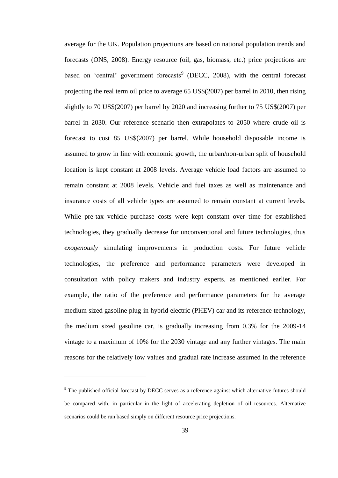average for the UK. Population projections are based on national population trends and forecasts (ONS, 2008). Energy resource (oil, gas, biomass, etc.) price projections are based on 'central' government forecasts<sup>9</sup> (DECC, 2008), with the central forecast projecting the real term oil price to average 65 US\$(2007) per barrel in 2010, then rising slightly to 70 US\$(2007) per barrel by 2020 and increasing further to 75 US\$(2007) per barrel in 2030. Our reference scenario then extrapolates to 2050 where crude oil is forecast to cost 85 US\$(2007) per barrel. While household disposable income is assumed to grow in line with economic growth, the urban/non-urban split of household location is kept constant at 2008 levels. Average vehicle load factors are assumed to remain constant at 2008 levels. Vehicle and fuel taxes as well as maintenance and insurance costs of all vehicle types are assumed to remain constant at current levels. While pre-tax vehicle purchase costs were kept constant over time for established technologies, they gradually decrease for unconventional and future technologies, thus *exogenously* simulating improvements in production costs. For future vehicle technologies, the preference and performance parameters were developed in consultation with policy makers and industry experts, as mentioned earlier. For example, the ratio of the preference and performance parameters for the average medium sized gasoline plug-in hybrid electric (PHEV) car and its reference technology, the medium sized gasoline car, is gradually increasing from 0.3% for the 2009-14 vintage to a maximum of 10% for the 2030 vintage and any further vintages. The main reasons for the relatively low values and gradual rate increase assumed in the reference

 $\overline{a}$ 

<sup>&</sup>lt;sup>9</sup> The published official forecast by DECC serves as a reference against which alternative futures should be compared with, in particular in the light of accelerating depletion of oil resources. Alternative scenarios could be run based simply on different resource price projections.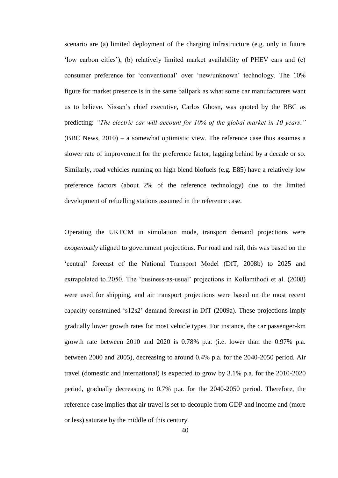scenario are (a) limited deployment of the charging infrastructure (e.g. only in future 'low carbon cities'), (b) relatively limited market availability of PHEV cars and (c) consumer preference for 'conventional' over 'new/unknown' technology. The 10% figure for market presence is in the same ballpark as what some car manufacturers want us to believe. Nissan's chief executive, Carlos Ghosn, was quoted by the BBC as predicting: *"The electric car will account for 10% of the global market in 10 years."* (BBC News, 2010) – a somewhat optimistic view. The reference case thus assumes a slower rate of improvement for the preference factor, lagging behind by a decade or so. Similarly, road vehicles running on high blend biofuels (e.g. E85) have a relatively low preference factors (about 2% of the reference technology) due to the limited development of refuelling stations assumed in the reference case.

Operating the UKTCM in simulation mode, transport demand projections were *exogenously* aligned to government projections. For road and rail, this was based on the 'central' forecast of the National Transport Model (DfT, 2008b) to 2025 and extrapolated to 2050. The 'business-as-usual' projections in Kollamthodi et al. (2008) were used for shipping, and air transport projections were based on the most recent capacity constrained 's12s2' demand forecast in DfT (2009a). These projections imply gradually lower growth rates for most vehicle types. For instance, the car passenger-km growth rate between 2010 and 2020 is 0.78% p.a. (i.e. lower than the 0.97% p.a. between 2000 and 2005), decreasing to around 0.4% p.a. for the 2040-2050 period. Air travel (domestic and international) is expected to grow by 3.1% p.a. for the 2010-2020 period, gradually decreasing to 0.7% p.a. for the 2040-2050 period. Therefore, the reference case implies that air travel is set to decouple from GDP and income and (more or less) saturate by the middle of this century.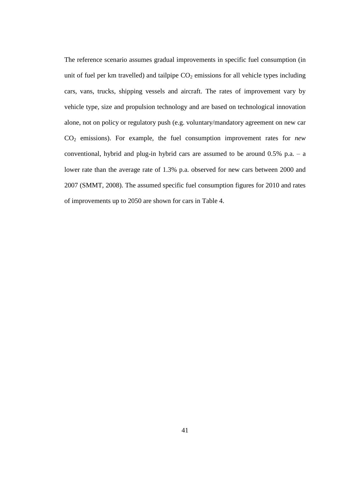The reference scenario assumes gradual improvements in specific fuel consumption (in unit of fuel per km travelled) and tailpipe  $CO<sub>2</sub>$  emissions for all vehicle types including cars, vans, trucks, shipping vessels and aircraft. The rates of improvement vary by vehicle type, size and propulsion technology and are based on technological innovation alone, not on policy or regulatory push (e.g. voluntary/mandatory agreement on new car CO<sup>2</sup> emissions). For example, the fuel consumption improvement rates for *new* conventional, hybrid and plug-in hybrid cars are assumed to be around 0.5% p.a. – a lower rate than the average rate of 1.3% p.a. observed for new cars between 2000 and 2007 (SMMT, 2008). The assumed specific fuel consumption figures for 2010 and rates of improvements up to 2050 are shown for cars in Table 4.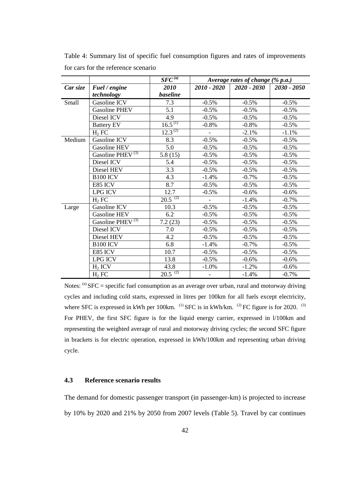|          |                              | $SFC^{(a)}$     | Average rates of change $(\%$ p.a.) |               |               |  |
|----------|------------------------------|-----------------|-------------------------------------|---------------|---------------|--|
| Car size | Fuel / engine                | 2010            | $2010 - 2020$                       | $2020 - 2030$ | $2030 - 2050$ |  |
|          | technology                   | <b>baseline</b> |                                     |               |               |  |
| Small    | Gasoline ICV                 | 7.3             | $-0.5%$                             | $-0.5%$       | $-0.5%$       |  |
|          | <b>Gasoline PHEV</b>         | 5.1             | $-0.5%$                             | $-0.5%$       | $-0.5%$       |  |
|          | Diesel ICV                   | 4.9             | $-0.5%$                             | $-0.5%$       | $-0.5%$       |  |
|          | <b>Battery EV</b>            | $16.5^{(1)}$    | $-0.8%$                             | $-0.8%$       | $-0.5%$       |  |
|          | H <sub>2</sub> FC            | $12.3^{(2)}$    |                                     | $-2.1%$       | $-1.1%$       |  |
| Medium   | Gasoline ICV                 | 8.3             | $-0.5%$                             | $-0.5%$       | $-0.5%$       |  |
|          | Gasoline HEV                 | 5.0             | $-0.5%$                             | $-0.5%$       | $-0.5%$       |  |
|          | Gasoline PHEV <sup>(3)</sup> | 5.8(15)         | $-0.5%$                             | $-0.5%$       | $-0.5%$       |  |
|          | Diesel ICV                   | 5.4             | $-0.5%$                             | $-0.5%$       | $-0.5%$       |  |
|          | Diesel HEV                   | 3.3             | $-0.5%$                             | $-0.5%$       | $-0.5%$       |  |
|          | <b>B100 ICV</b>              | 4.3             | $-1.4%$                             | $-0.7%$       | $-0.5%$       |  |
|          | E85 ICV                      | 8.7             | $-0.5%$                             | $-0.5%$       | $-0.5%$       |  |
|          | <b>LPG ICV</b>               | 12.7            | $-0.5%$                             | $-0.6%$       | $-0.6%$       |  |
|          | $H_2$ FC                     | $20.5^{(2)}$    |                                     | $-1.4%$       | $-0.7%$       |  |
| Large    | Gasoline ICV                 | 10.3            | $-0.5%$                             | $-0.5%$       | $-0.5%$       |  |
|          | Gasoline HEV                 | 6.2             | $-0.5%$                             | $-0.5%$       | $-0.5%$       |  |
|          | Gasoline PHEV <sup>(3)</sup> | 7.2(23)         | $-0.5%$                             | $-0.5%$       | $-0.5%$       |  |
|          | Diesel ICV                   | 7.0             | $-0.5%$                             | $-0.5%$       | $-0.5%$       |  |
|          | Diesel HEV                   | 4.2             | $-0.5%$                             | $-0.5%$       | $-0.5%$       |  |
|          | <b>B100 ICV</b>              | 6.8             | $-1.4%$                             | $-0.7%$       | $-0.5%$       |  |
|          | E85 ICV                      | 10.7            | $-0.5%$                             | $-0.5%$       | $-0.5%$       |  |
|          | <b>LPG ICV</b>               | 13.8            | $-0.5%$                             | $-0.6%$       | $-0.6%$       |  |
|          | $H_2$ ICV                    | 43.8            | $-1.0%$                             | $-1.2%$       | $-0.6%$       |  |
|          | $H_2$ FC                     | $20.5^{(2)}$    | $\overline{\phantom{a}}$            | $-1.4%$       | $-0.7%$       |  |

Table 4: Summary list of specific fuel consumption figures and rates of improvements for cars for the reference scenario

Notes:  $^{(a)}$  SFC = specific fuel consumption as an average over urban, rural and motorway driving cycles and including cold starts, expressed in litres per 100km for all fuels except electricity, where SFC is expressed in kWh per 100km.  $^{(1)}$  SFC is in kWh/km.  $^{(2)}$  FC figure is for 2020.  $^{(3)}$ For PHEV, the first SFC figure is for the liquid energy carrier, expressed in l/100km and representing the weighted average of rural and motorway driving cycles; the second SFC figure in brackets is for electric operation, expressed in kWh/100km and representing urban driving cycle.

## **4.3 Reference scenario results**

The demand for domestic passenger transport (in passenger-km) is projected to increase by 10% by 2020 and 21% by 2050 from 2007 levels (Table 5). Travel by car continues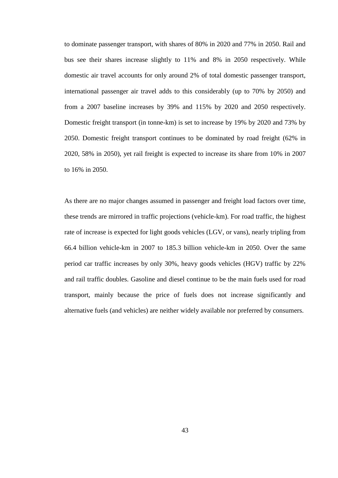to dominate passenger transport, with shares of 80% in 2020 and 77% in 2050. Rail and bus see their shares increase slightly to 11% and 8% in 2050 respectively. While domestic air travel accounts for only around 2% of total domestic passenger transport, international passenger air travel adds to this considerably (up to 70% by 2050) and from a 2007 baseline increases by 39% and 115% by 2020 and 2050 respectively. Domestic freight transport (in tonne-km) is set to increase by 19% by 2020 and 73% by 2050. Domestic freight transport continues to be dominated by road freight (62% in 2020, 58% in 2050), yet rail freight is expected to increase its share from 10% in 2007 to 16% in 2050.

As there are no major changes assumed in passenger and freight load factors over time, these trends are mirrored in traffic projections (vehicle-km). For road traffic, the highest rate of increase is expected for light goods vehicles (LGV, or vans), nearly tripling from 66.4 billion vehicle-km in 2007 to 185.3 billion vehicle-km in 2050. Over the same period car traffic increases by only 30%, heavy goods vehicles (HGV) traffic by 22% and rail traffic doubles. Gasoline and diesel continue to be the main fuels used for road transport, mainly because the price of fuels does not increase significantly and alternative fuels (and vehicles) are neither widely available nor preferred by consumers.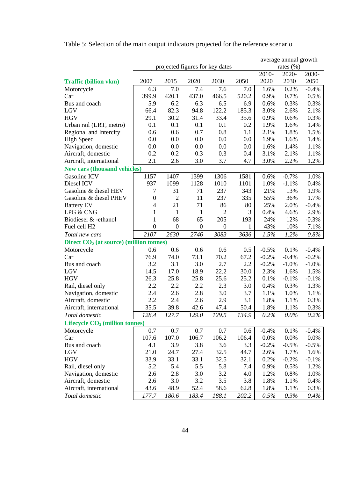|                                           |                  |                                 |                  |                  | average annual growth |         |         |         |
|-------------------------------------------|------------------|---------------------------------|------------------|------------------|-----------------------|---------|---------|---------|
|                                           |                  | projected figures for key dates |                  |                  | rates $(\%)$          |         |         |         |
|                                           |                  |                                 |                  |                  |                       | 2010-   | 2020-   | 2030-   |
| <b>Traffic (billion vkm)</b>              | 2007             | 2015                            | 2020             | 2030             | 2050                  | 2020    | 2030    | 2050    |
| Motorcycle                                | 6.3              | 7.0                             | 7.4              | 7.6              | 7.0                   | 1.6%    | 0.2%    | $-0.4%$ |
| Car                                       | 399.9            | 420.1                           | 437.0            | 466.5            | 520.2                 | 0.9%    | 0.7%    | 0.5%    |
| Bus and coach                             | 5.9              | 6.2                             | 6.3              | 6.5              | 6.9                   | 0.6%    | 0.3%    | 0.3%    |
| LGV                                       | 66.4             | 82.3                            | 94.8             | 122.2            | 185.3                 | 3.0%    | 2.6%    | 2.1%    |
| <b>HGV</b>                                | 29.1             | 30.2                            | 31.4             | 33.4             | 35.6                  | 0.9%    | 0.6%    | 0.3%    |
| Urban rail (LRT, metro)                   | 0.1              | 0.1                             | 0.1              | 0.1              | 0.2                   | 1.9%    | 1.6%    | 1.4%    |
| Regional and Intercity                    | 0.6              | 0.6                             | 0.7              | 0.8              | 1.1                   | 2.1%    | 1.8%    | 1.5%    |
| <b>High Speed</b>                         | 0.0              | 0.0                             | 0.0              | 0.0              | 0.0                   | 1.9%    | 1.6%    | 1.4%    |
| Navigation, domestic                      | 0.0              | 0.0                             | 0.0              | 0.0              | 0.0                   | 1.6%    | 1.4%    | 1.1%    |
| Aircraft, domestic                        | 0.2              | 0.2                             | 0.3              | 0.3              | 0.4                   | 3.1%    | 2.1%    | 1.1%    |
| Aircraft, international                   | 2.1              | 2.6                             | 3.0              | 3.7              | 4.7                   | 3.0%    | 2.2%    | 1.2%    |
| <b>New cars (thousand vehicles)</b>       |                  |                                 |                  |                  |                       |         |         |         |
| Gasoline ICV                              | 1157             | 1407                            | 1399             | 1306             | 1581                  | 0.6%    | $-0.7%$ | 1.0%    |
| Diesel ICV                                | 937              | 1099                            | 1128             | 1010             | 1101                  | 1.0%    | $-1.1%$ | 0.4%    |
| Gasoline & diesel HEV                     | 7                | 31                              | 71               | 237              | 343                   | 21%     | 13%     | 1.9%    |
| Gasoline & diesel PHEV                    | $\boldsymbol{0}$ | $\overline{2}$                  | 11               | 237              | 335                   | 55%     | 36%     | 1.7%    |
| <b>Battery EV</b>                         | $\overline{4}$   | 21                              | 71               | 86               | 80                    | 25%     | 2.0%    | $-0.4%$ |
| LPG & CNG                                 | $\mathbf{1}$     | $\mathbf{1}$                    | $\mathbf{1}$     | $\overline{2}$   | 3                     | 0.4%    | 4.6%    | 2.9%    |
| Biodiesel & -ethanol                      | $\mathbf 1$      | 68                              | 65               | 205              | 193                   | 24%     | 12%     | $-0.3%$ |
| Fuel cell H <sub>2</sub>                  | $\boldsymbol{0}$ | $\boldsymbol{0}$                | $\boldsymbol{0}$ | $\boldsymbol{0}$ | 1                     | 43%     | 10%     | 7.1%    |
| Total new cars                            | 2107             | 2630                            | 2746             | 3083             | 3636                  | 1.5%    | 1.2%    | 0.8%    |
| Direct $CO2$ (at source) (million tonnes) |                  |                                 |                  |                  |                       |         |         |         |
| Motorcycle                                | 0.6              | 0.6                             | 0.6              | 0.6              | 0.5                   | $-0.5%$ | 0.1%    | $-0.4%$ |
| Car                                       | 76.9             | 74.0                            | 73.1             | 70.2             | 67.2                  | $-0.2%$ | $-0.4%$ | $-0.2%$ |
| Bus and coach                             | 3.2              | 3.1                             | 3.0              | 2.7              | 2.2                   | $-0.2%$ | $-1.0%$ | $-1.0%$ |
| LGV                                       | 14.5             | 17.0                            | 18.9             | 22.2             | 30.0                  | 2.3%    | 1.6%    | 1.5%    |
| <b>HGV</b>                                | 26.3             | 25.8                            | 25.8             | 25.6             | 25.2                  | 0.1%    | $-0.1%$ | $-0.1%$ |
| Rail, diesel only                         | 2.2              | 2.2                             | 2.2              | 2.3              | 3.0                   | 0.4%    | 0.3%    | 1.3%    |
| Navigation, domestic                      | 2.4              | 2.6                             | 2.8              | 3.0              | 3.7                   | 1.1%    | 1.0%    | 1.1%    |
| Aircraft, domestic                        | 2.2              | 2.4                             | 2.6              | 2.9              | 3.1                   | 1.8%    | 1.1%    | 0.3%    |
| Aircraft, international                   | 35.5             | 39.8                            | 42.6             | 47.4             | 50.4                  | 1.8%    | 1.1%    | 0.3%    |
| Total domestic                            | 128.4            | 127.7                           | 129.0            | 129.5            | 134.9                 | 0.2%    | $0.0\%$ | $0.2\%$ |
| Lifecycle $CO2$ (million tonnes)          |                  |                                 |                  |                  |                       |         |         |         |
| Motorcycle                                | 0.7              | 0.7                             | 0.7              | 0.7              | 0.6                   | $-0.4%$ | 0.1%    | $-0.4%$ |
| Car                                       | 107.6            | 107.0                           | 106.7            | 106.2            | 106.4                 | 0.0%    | 0.0%    | 0.0%    |
| Bus and coach                             | 4.1              | 3.9                             | 3.8              | 3.6              | 3.3                   | $-0.2%$ | $-0.5%$ | $-0.5%$ |
| LGV                                       | 21.0             | 24.7                            | 27.4             | 32.5             | 44.7                  | 2.6%    | 1.7%    | 1.6%    |
| <b>HGV</b>                                | 33.9             | 33.1                            | 33.1             | 32.5             | 32.1                  | 0.2%    | $-0.2%$ | $-0.1%$ |
| Rail, diesel only                         | 5.2              | 5.4                             | 5.5              | 5.8              | 7.4                   | 0.9%    | 0.5%    | 1.2%    |
| Navigation, domestic                      | 2.6              | 2.8                             | 3.0              | 3.2              | 4.0                   | 1.2%    | 0.8%    | 1.0%    |
| Aircraft, domestic                        | 2.6              | 3.0                             | 3.2              | 3.5              | 3.8                   | 1.8%    | 1.1%    | 0.4%    |
| Aircraft, international                   | 43.6             | 48.9                            | 52.4             | 58.6             | 62.8                  | 1.8%    | 1.1%    | 0.3%    |
| Total domestic                            | 177.7            | 180.6                           | 183.4            | 188.1            | 202.2                 | 0.5%    | 0.3%    | $0.4\%$ |

Table 5: Selection of the main output indicators projected for the reference scenario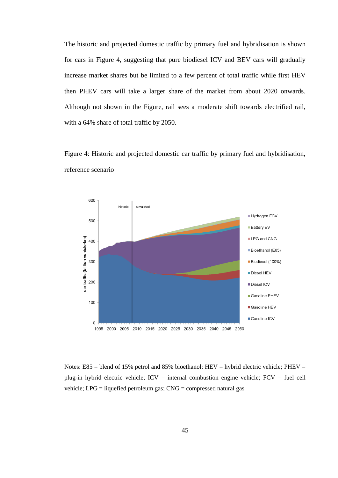The historic and projected domestic traffic by primary fuel and hybridisation is shown for cars in Figure 4, suggesting that pure biodiesel ICV and BEV cars will gradually increase market shares but be limited to a few percent of total traffic while first HEV then PHEV cars will take a larger share of the market from about 2020 onwards. Although not shown in the Figure, rail sees a moderate shift towards electrified rail, with a 64% share of total traffic by 2050.

Figure 4: Historic and projected domestic car traffic by primary fuel and hybridisation, reference scenario



Notes: E85 = blend of 15% petrol and 85% bioethanol; HEV = hybrid electric vehicle; PHEV = plug-in hybrid electric vehicle;  $\text{ICV} = \text{internal combustion engine vehicle}$ ;  $\text{FCV} = \text{fuel cell}$ vehicle;  $LPG =$  liquefied petroleum gas;  $CNG =$  compressed natural gas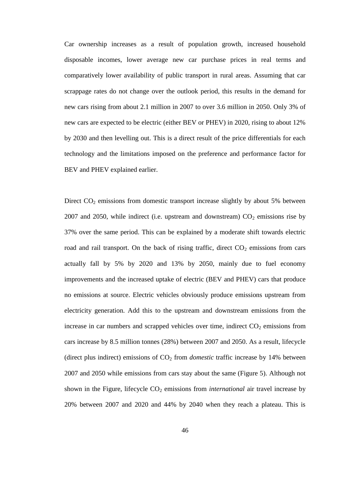Car ownership increases as a result of population growth, increased household disposable incomes, lower average new car purchase prices in real terms and comparatively lower availability of public transport in rural areas. Assuming that car scrappage rates do not change over the outlook period, this results in the demand for new cars rising from about 2.1 million in 2007 to over 3.6 million in 2050. Only 3% of new cars are expected to be electric (either BEV or PHEV) in 2020, rising to about 12% by 2030 and then levelling out. This is a direct result of the price differentials for each technology and the limitations imposed on the preference and performance factor for BEV and PHEV explained earlier.

Direct  $CO<sub>2</sub>$  emissions from domestic transport increase slightly by about 5% between 2007 and 2050, while indirect (i.e. upstream and downstream)  $CO<sub>2</sub>$  emissions rise by 37% over the same period. This can be explained by a moderate shift towards electric road and rail transport. On the back of rising traffic, direct  $CO<sub>2</sub>$  emissions from cars actually fall by 5% by 2020 and 13% by 2050, mainly due to fuel economy improvements and the increased uptake of electric (BEV and PHEV) cars that produce no emissions at source. Electric vehicles obviously produce emissions upstream from electricity generation. Add this to the upstream and downstream emissions from the increase in car numbers and scrapped vehicles over time, indirect  $CO<sub>2</sub>$  emissions from cars increase by 8.5 million tonnes (28%) between 2007 and 2050. As a result, lifecycle (direct plus indirect) emissions of  $CO<sub>2</sub>$  from *domestic* traffic increase by 14% between 2007 and 2050 while emissions from cars stay about the same (Figure 5). Although not shown in the Figure, lifecycle CO<sub>2</sub> emissions from *international* air travel increase by 20% between 2007 and 2020 and 44% by 2040 when they reach a plateau. This is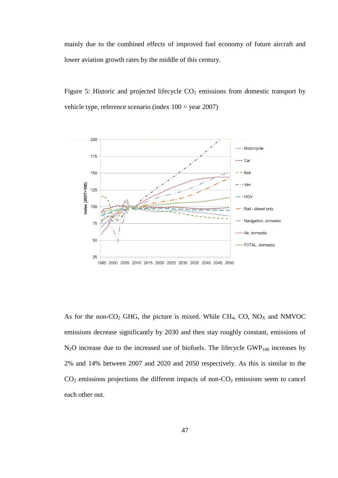mainly due to the combined effects of improved fuel economy of future aircraft and lower aviation growth rates by the middle of this century.

Figure 5: Historic and projected lifecycle  $CO<sub>2</sub>$  emissions from domestic transport by vehicle type, reference scenario (index 100 = year 2007)



As for the non- $CO_2$  GHG, the picture is mixed. While CH<sub>4</sub>, CO, NO<sub>X</sub> and NMVOC emissions decrease significantly by 2030 and then stay roughly constant, emissions of  $N_2O$  increase due to the increased use of biofuels. The lifecycle  $GWP_{100}$  increases by 2% and 14% between 2007 and 2020 and 2050 respectively. As this is similar to the  $CO<sub>2</sub>$  emissions projections the different impacts of non- $CO<sub>2</sub>$  emissions seem to cancel each other out.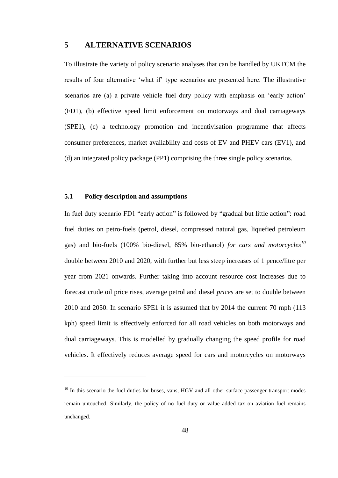## **5 ALTERNATIVE SCENARIOS**

To illustrate the variety of policy scenario analyses that can be handled by UKTCM the results of four alternative 'what if' type scenarios are presented here. The illustrative scenarios are (a) a private vehicle fuel duty policy with emphasis on 'early action' (FD1), (b) effective speed limit enforcement on motorways and dual carriageways (SPE1), (c) a technology promotion and incentivisation programme that affects consumer preferences, market availability and costs of EV and PHEV cars (EV1), and (d) an integrated policy package (PP1) comprising the three single policy scenarios.

# **5.1 Policy description and assumptions**

 $\overline{a}$ 

In fuel duty scenario FD1 "early action" is followed by "gradual but little action": road fuel duties on petro-fuels (petrol, diesel, compressed natural gas, liquefied petroleum gas) and bio-fuels (100% bio-diesel, 85% bio-ethanol) *for cars and motorcycles<sup>10</sup>* double between 2010 and 2020, with further but less steep increases of 1 pence/litre per year from 2021 onwards. Further taking into account resource cost increases due to forecast crude oil price rises, average petrol and diesel *prices* are set to double between 2010 and 2050. In scenario SPE1 it is assumed that by 2014 the current 70 mph (113 kph) speed limit is effectively enforced for all road vehicles on both motorways and dual carriageways. This is modelled by gradually changing the speed profile for road vehicles. It effectively reduces average speed for cars and motorcycles on motorways

 $10$  In this scenario the fuel duties for buses, vans, HGV and all other surface passenger transport modes remain untouched. Similarly, the policy of no fuel duty or value added tax on aviation fuel remains unchanged.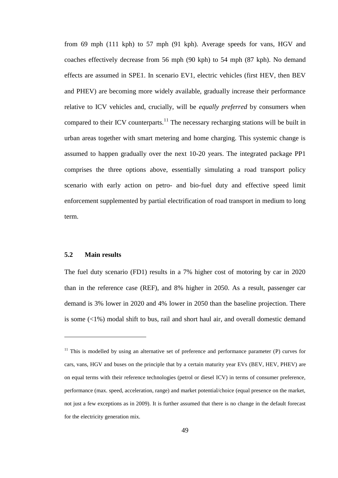from 69 mph (111 kph) to 57 mph (91 kph). Average speeds for vans, HGV and coaches effectively decrease from 56 mph (90 kph) to 54 mph (87 kph). No demand effects are assumed in SPE1. In scenario EV1, electric vehicles (first HEV, then BEV and PHEV) are becoming more widely available, gradually increase their performance relative to ICV vehicles and, crucially, will be *equally preferred* by consumers when compared to their ICV counterparts.<sup>11</sup> The necessary recharging stations will be built in urban areas together with smart metering and home charging. This systemic change is assumed to happen gradually over the next 10-20 years. The integrated package PP1 comprises the three options above, essentially simulating a road transport policy scenario with early action on petro- and bio-fuel duty and effective speed limit enforcement supplemented by partial electrification of road transport in medium to long term.

## **5.2 Main results**

 $\overline{a}$ 

The fuel duty scenario (FD1) results in a 7% higher cost of motoring by car in 2020 than in the reference case (REF), and 8% higher in 2050. As a result, passenger car demand is 3% lower in 2020 and 4% lower in 2050 than the baseline projection. There is some (<1%) modal shift to bus, rail and short haul air, and overall domestic demand

 $11$  This is modelled by using an alternative set of preference and performance parameter (P) curves for cars, vans, HGV and buses on the principle that by a certain maturity year EVs (BEV, HEV, PHEV) are on equal terms with their reference technologies (petrol or diesel ICV) in terms of consumer preference, performance (max. speed, acceleration, range) and market potential/choice (equal presence on the market, not just a few exceptions as in 2009). It is further assumed that there is no change in the default forecast for the electricity generation mix.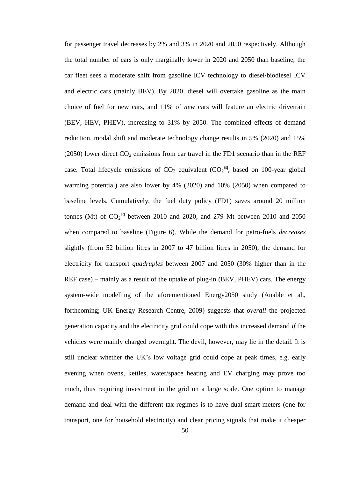for passenger travel decreases by 2% and 3% in 2020 and 2050 respectively. Although the total number of cars is only marginally lower in 2020 and 2050 than baseline, the car fleet sees a moderate shift from gasoline ICV technology to diesel/biodiesel ICV and electric cars (mainly BEV). By 2020, diesel will overtake gasoline as the main choice of fuel for new cars, and 11% of *new* cars will feature an electric drivetrain (BEV, HEV, PHEV), increasing to 31% by 2050. The combined effects of demand reduction, modal shift and moderate technology change results in 5% (2020) and 15% (2050) lower direct  $CO<sub>2</sub>$  emissions from car travel in the FD1 scenario than in the REF case. Total lifecycle emissions of  $CO<sub>2</sub>$  equivalent  $(CO<sub>2</sub><sup>eq</sup>$ , based on 100-year global warming potential) are also lower by 4% (2020) and 10% (2050) when compared to baseline levels. Cumulatively, the fuel duty policy (FD1) saves around 20 million tonnes (Mt) of  $CO_2^{\text{eq}}$  between 2010 and 2020, and 279 Mt between 2010 and 2050 when compared to baseline (Figure 6). While the demand for petro-fuels *decreases* slightly (from 52 billion litres in 2007 to 47 billion litres in 2050), the demand for electricity for transport *quadruples* between 2007 and 2050 (30% higher than in the REF case) – mainly as a result of the uptake of plug-in (BEV, PHEV) cars. The energy system-wide modelling of the aforementioned Energy2050 study (Anable et al., forthcoming; UK Energy Research Centre, 2009) suggests that *overall* the projected generation capacity and the electricity grid could cope with this increased demand *if* the vehicles were mainly charged overnight. The devil, however, may lie in the detail. It is still unclear whether the UK's low voltage grid could cope at peak times, e.g. early evening when ovens, kettles, water/space heating and EV charging may prove too much, thus requiring investment in the grid on a large scale. One option to manage demand and deal with the different tax regimes is to have dual smart meters (one for transport, one for household electricity) and clear pricing signals that make it cheaper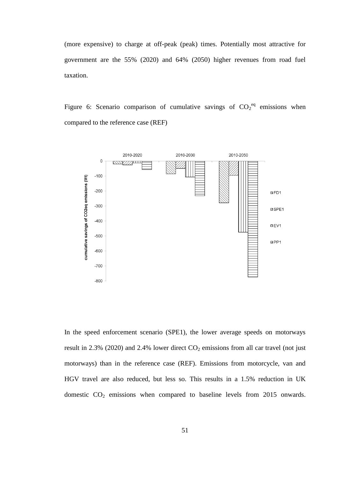(more expensive) to charge at off-peak (peak) times. Potentially most attractive for government are the 55% (2020) and 64% (2050) higher revenues from road fuel taxation.

Figure 6: Scenario comparison of cumulative savings of  $CO_2^{\text{eq}}$  emissions when compared to the reference case (REF)



In the speed enforcement scenario (SPE1), the lower average speeds on motorways result in 2.3% (2020) and 2.4% lower direct  $CO_2$  emissions from all car travel (not just motorways) than in the reference case (REF). Emissions from motorcycle, van and HGV travel are also reduced, but less so. This results in a 1.5% reduction in UK domestic  $CO<sub>2</sub>$  emissions when compared to baseline levels from 2015 onwards.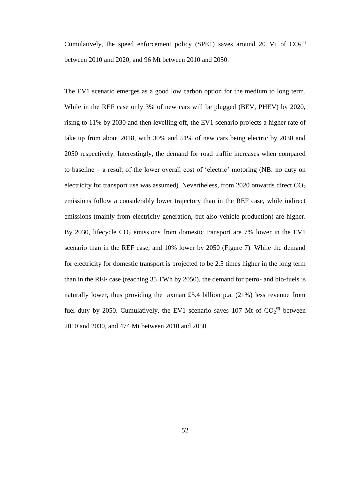Cumulatively, the speed enforcement policy (SPE1) saves around 20 Mt of  $CO_2^{\text{eq}}$ between 2010 and 2020, and 96 Mt between 2010 and 2050.

The EV1 scenario emerges as a good low carbon option for the medium to long term. While in the REF case only 3% of new cars will be plugged (BEV, PHEV) by 2020, rising to 11% by 2030 and then levelling off, the EV1 scenario projects a higher rate of take up from about 2018, with 30% and 51% of new cars being electric by 2030 and 2050 respectively. Interestingly, the demand for road traffic increases when compared to baseline – a result of the lower overall cost of 'electric' motoring (NB: no duty on electricity for transport use was assumed). Nevertheless, from 2020 onwards direct  $CO<sub>2</sub>$ emissions follow a considerably lower trajectory than in the REF case, while indirect emissions (mainly from electricity generation, but also vehicle production) are higher. By 2030, lifecycle  $CO<sub>2</sub>$  emissions from domestic transport are 7% lower in the EV1 scenario than in the REF case, and 10% lower by 2050 (Figure 7). While the demand for electricity for domestic transport is projected to be 2.5 times higher in the long term than in the REF case (reaching 35 TWh by 2050), the demand for petro- and bio-fuels is naturally lower, thus providing the taxman £5.4 billion p.a. (21%) less revenue from fuel duty by 2050. Cumulatively, the EV1 scenario saves 107 Mt of  $CO_2^{\text{eq}}$  between 2010 and 2030, and 474 Mt between 2010 and 2050.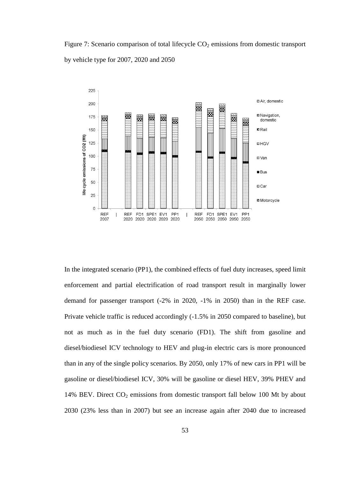Figure 7: Scenario comparison of total lifecycle  $CO<sub>2</sub>$  emissions from domestic transport by vehicle type for 2007, 2020 and 2050



In the integrated scenario (PP1), the combined effects of fuel duty increases, speed limit enforcement and partial electrification of road transport result in marginally lower demand for passenger transport (-2% in 2020, -1% in 2050) than in the REF case. Private vehicle traffic is reduced accordingly (-1.5% in 2050 compared to baseline), but not as much as in the fuel duty scenario (FD1). The shift from gasoline and diesel/biodiesel ICV technology to HEV and plug-in electric cars is more pronounced than in any of the single policy scenarios. By 2050, only 17% of new cars in PP1 will be gasoline or diesel/biodiesel ICV, 30% will be gasoline or diesel HEV, 39% PHEV and 14% BEV. Direct  $CO_2$  emissions from domestic transport fall below 100 Mt by about 2030 (23% less than in 2007) but see an increase again after 2040 due to increased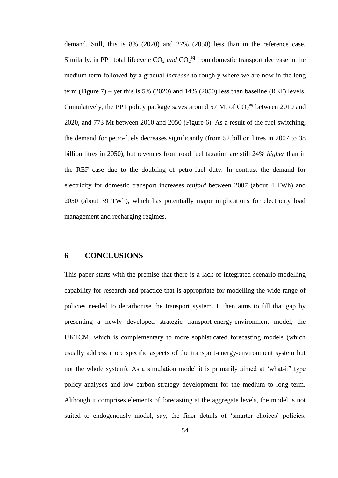demand. Still, this is 8% (2020) and 27% (2050) less than in the reference case. Similarly, in PP1 total lifecycle  $CO_2$  and  $CO_2^{\text{eq}}$  from domestic transport decrease in the medium term followed by a gradual *increase* to roughly where we are now in the long term (Figure 7) – yet this is 5% (2020) and 14% (2050) less than baseline (REF) levels. Cumulatively, the PP1 policy package saves around 57 Mt of  $CO_2^{\text{eq}}$  between 2010 and 2020, and 773 Mt between 2010 and 2050 (Figure 6). As a result of the fuel switching, the demand for petro-fuels decreases significantly (from 52 billion litres in 2007 to 38 billion litres in 2050), but revenues from road fuel taxation are still 24% *higher* than in the REF case due to the doubling of petro-fuel duty. In contrast the demand for electricity for domestic transport increases *tenfold* between 2007 (about 4 TWh) and 2050 (about 39 TWh), which has potentially major implications for electricity load management and recharging regimes.

## **6 CONCLUSIONS**

This paper starts with the premise that there is a lack of integrated scenario modelling capability for research and practice that is appropriate for modelling the wide range of policies needed to decarbonise the transport system. It then aims to fill that gap by presenting a newly developed strategic transport-energy-environment model, the UKTCM, which is complementary to more sophisticated forecasting models (which usually address more specific aspects of the transport-energy-environment system but not the whole system). As a simulation model it is primarily aimed at 'what-if' type policy analyses and low carbon strategy development for the medium to long term. Although it comprises elements of forecasting at the aggregate levels, the model is not suited to endogenously model, say, the finer details of 'smarter choices' policies.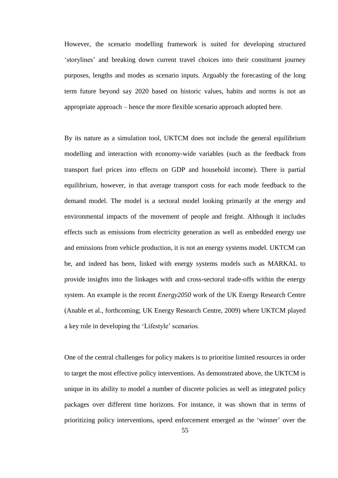However, the scenario modelling framework is suited for developing structured 'storylines' and breaking down current travel choices into their constituent journey purposes, lengths and modes as scenario inputs. Arguably the forecasting of the long term future beyond say 2020 based on historic values, habits and norms is not an appropriate approach – hence the more flexible scenario approach adopted here.

By its nature as a simulation tool, UKTCM does not include the general equilibrium modelling and interaction with economy-wide variables (such as the feedback from transport fuel prices into effects on GDP and household income). There is partial equilibrium, however, in that average transport costs for each mode feedback to the demand model. The model is a sectoral model looking primarily at the energy and environmental impacts of the movement of people and freight. Although it includes effects such as emissions from electricity generation as well as embedded energy use and emissions from vehicle production, it is not an energy systems model. UKTCM can be, and indeed has been, linked with energy systems models such as MARKAL to provide insights into the linkages with and cross-sectoral trade-offs within the energy system. An example is the recent *Energy2050* work of the UK Energy Research Centre (Anable et al., forthcoming; UK Energy Research Centre, 2009) where UKTCM played a key role in developing the 'Lifestyle' scenarios.

One of the central challenges for policy makers is to prioritise limited resources in order to target the most effective policy interventions. As demonstrated above, the UKTCM is unique in its ability to model a number of discrete policies as well as integrated policy packages over different time horizons. For instance, it was shown that in terms of prioritizing policy interventions, speed enforcement emerged as the 'winner' over the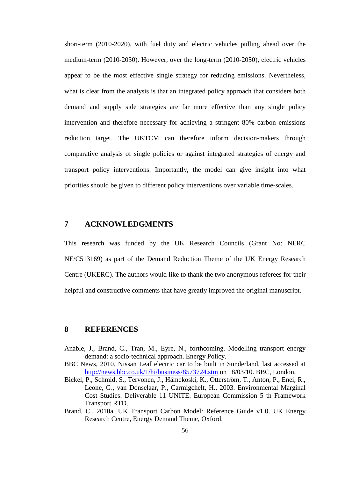short-term (2010-2020), with fuel duty and electric vehicles pulling ahead over the medium-term (2010-2030). However, over the long-term (2010-2050), electric vehicles appear to be the most effective single strategy for reducing emissions. Nevertheless, what is clear from the analysis is that an integrated policy approach that considers both demand and supply side strategies are far more effective than any single policy intervention and therefore necessary for achieving a stringent 80% carbon emissions reduction target. The UKTCM can therefore inform decision-makers through comparative analysis of single policies or against integrated strategies of energy and transport policy interventions. Importantly, the model can give insight into what priorities should be given to different policy interventions over variable time-scales.

## **7 ACKNOWLEDGMENTS**

This research was funded by the UK Research Councils (Grant No: NERC NE/C513169) as part of the Demand Reduction Theme of the UK Energy Research Centre (UKERC). The authors would like to thank the two anonymous referees for their helpful and constructive comments that have greatly improved the original manuscript.

## **8 REFERENCES**

- Anable, J., Brand, C., Tran, M., Eyre, N., forthcoming. Modelling transport energy demand: a socio-technical approach. Energy Policy.
- BBC News, 2010. Nissan Leaf electric car to be built in Sunderland, last accessed at <http://news.bbc.co.uk/1/hi/business/8573724.stm> on 18/03/10. BBC, London.
- Bickel, P., Schmid, S., Tervonen, J., Hämekoski, K., Otterström, T., Anton, P., Enei, R., Leone, G., van Donselaar, P., Carmigchelt, H., 2003. Environmental Marginal Cost Studies. Deliverable 11 UNITE. European Commission 5 th Framework Transport RTD.
- Brand, C., 2010a. UK Transport Carbon Model: Reference Guide v1.0. UK Energy Research Centre, Energy Demand Theme, Oxford.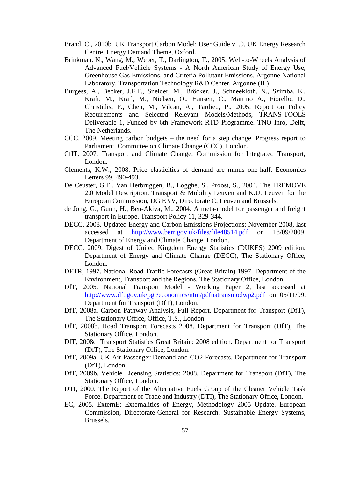- Brand, C., 2010b. UK Transport Carbon Model: User Guide v1.0. UK Energy Research Centre, Energy Demand Theme, Oxford.
- Brinkman, N., Wang, M., Weber, T., Darlington, T., 2005. Well-to-Wheels Analysis of Advanced Fuel/Vehicle Systems - A North American Study of Energy Use, Greenhouse Gas Emissions, and Criteria Pollutant Emissions. Argonne National Laboratory, Transportation Technology R&D Center, Argonne (IL).
- Burgess, A., Becker, J.F.F., Snelder, M., Bröcker, J., Schneekloth, N., Szimba, E., Kraft, M., Krail, M., Nielsen, O., Hansen, C., Martino A., Fiorello, D., Christidis, P., Chen, M., Vilcan, A., Tardieu, P., 2005. Report on Policy Requirements and Selected Relevant Models/Methods, TRANS-TOOLS Deliverable 1, Funded by 6th Framework RTD Programme. TNO Inro, Delft, The Netherlands.
- CCC, 2009. Meeting carbon budgets the need for a step change. Progress report to Parliament. Committee on Climate Change (CCC), London.
- CfIT, 2007. Transport and Climate Change. Commission for Integrated Transport, London.
- Clements, K.W., 2008. Price elasticities of demand are minus one-half. Economics Letters 99, 490-493.
- De Ceuster, G.E., Van Herbruggen, B., Logghe, S., Proost, S., 2004. The TREMOVE 2.0 Model Description. Transport & Mobility Leuven and K.U. Leuven for the European Commission, DG ENV, Directorate C, Leuven and Brussels.
- de Jong, G., Gunn, H., Ben-Akiva, M., 2004. A meta-model for passenger and freight transport in Europe. Transport Policy 11, 329-344.
- DECC, 2008. Updated Energy and Carbon Emissions Projections: November 2008, last accessed at <http://www.berr.gov.uk/files/file48514.pdf> on 18/09/2009. Department of Energy and Climate Change, London.
- DECC, 2009. Digest of United Kingdom Energy Statistics (DUKES) 2009 edition. Department of Energy and Climate Change (DECC), The Stationary Office, London.
- DETR, 1997. National Road Traffic Forecasts (Great Britain) 1997. Department of the Environment, Transport and the Regions, The Stationary Office, London.
- DfT, 2005. National Transport Model Working Paper 2, last accessed at <http://www.dft.gov.uk/pgr/economics/ntm/pdfnatransmodwp2.pdf> on 05/11/09. Department for Transport (DfT), London.
- DfT, 2008a. Carbon Pathway Analysis, Full Report. Department for Transport (DfT), The Stationary Office, Office, T.S., London.
- DfT, 2008b. Road Transport Forecasts 2008. Department for Transport (DfT), The Stationary Office, London.
- DfT, 2008c. Transport Statistics Great Britain: 2008 edition. Department for Transport (DfT), The Stationary Office, London.
- DfT, 2009a. UK Air Passenger Demand and CO2 Forecasts. Department for Transport (DfT), London.
- DfT, 2009b. Vehicle Licensing Statistics: 2008. Department for Transport (DfT), The Stationary Office, London.
- DTI, 2000. The Report of the Alternative Fuels Group of the Cleaner Vehicle Task Force. Department of Trade and Industry (DTI), The Stationary Office, London.
- EC, 2005. ExternE: Externalities of Energy, Methodology 2005 Update. European Commission, Directorate-General for Research, Sustainable Energy Systems, Brussels.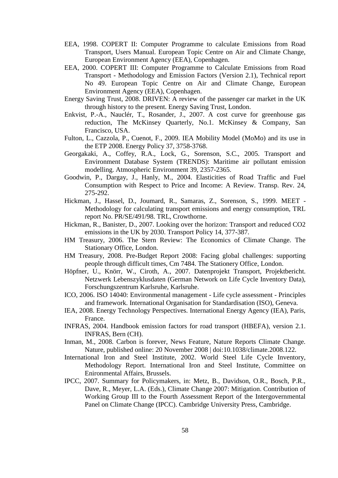- EEA, 1998. COPERT II: Computer Programme to calculate Emissions from Road Transport, Users Manual. European Topic Centre on Air and Climate Change, European Environment Agency (EEA), Copenhagen.
- EEA, 2000. COPERT III: Computer Programme to Calculate Emissions from Road Transport - Methodology and Emission Factors (Version 2.1), Technical report No 49. European Topic Centre on Air and Climate Change, European Environment Agency (EEA), Copenhagen.
- Energy Saving Trust, 2008. DRIVEN: A review of the passenger car market in the UK through history to the present. Energy Saving Trust, London.
- Enkvist, P.-A., Nauclér, T., Rosander, J., 2007. A cost curve for greenhouse gas reduction, The McKinsey Quarterly, No.1. McKinsey & Company, San Francisco, USA.
- Fulton, L., Cazzola, P., Cuenot, F., 2009. IEA Mobility Model (MoMo) and its use in the ETP 2008. Energy Policy 37, 3758-3768.
- Georgakaki, A., Coffey, R.A., Lock, G., Sorenson, S.C., 2005. Transport and Environment Database System (TRENDS): Maritime air pollutant emission modelling. Atmospheric Environment 39, 2357-2365.
- Goodwin, P., Dargay, J., Hanly, M., 2004. Elasticities of Road Traffic and Fuel Consumption with Respect to Price and Income: A Review. Transp. Rev. 24, 275-292.
- Hickman, J., Hassel, D., Joumard, R., Samaras, Z., Sorenson, S., 1999. MEET Methodology for calculating transport emissions and energy consumption, TRL report No. PR/SE/491/98. TRL, Crowthorne.
- Hickman, R., Banister, D., 2007. Looking over the horizon: Transport and reduced CO2 emissions in the UK by 2030. Transport Policy 14, 377-387.
- HM Treasury, 2006. The Stern Review: The Economics of Climate Change. The Stationary Office, London.
- HM Treasury, 2008. Pre-Budget Report 2008: Facing global challenges: supporting people through difficult times, Cm 7484. The Stationery Office, London.
- Höpfner, U., Knörr, W., Ciroth, A., 2007. Datenprojekt Transport, Projektbericht. Netzwerk Lebenszyklusdaten (German Network on Life Cycle Inventory Data), Forschungszentrum Karlsruhe, Karlsruhe.
- ICO, 2006. ISO 14040: Environmental management Life cycle assessment Principles and framework. International Organisation for Standardisation (ISO), Geneva.
- IEA, 2008. Energy Technology Perspectives. International Energy Agency (IEA), Paris, France.
- INFRAS, 2004. Handbook emission factors for road transport (HBEFA), version 2.1. INFRAS, Bern (CH).
- Inman, M., 2008. Carbon is forever, News Feature, Nature Reports Climate Change. Nature, published online: 20 November 2008 | doi:10.1038/climate.2008.122.
- International Iron and Steel Institute, 2002. World Steel Life Cycle Inventory, Methodology Report. International Iron and Steel Institute, Committee on Enironmental Affairs, Brussels.
- IPCC, 2007. Summary for Policymakers, in: Metz, B., Davidson, O.R., Bosch, P.R., Dave, R., Meyer, L.A. (Eds.), Climate Change 2007: Mitigation. Contribution of Working Group III to the Fourth Assessment Report of the Intergovernmental Panel on Climate Change (IPCC). Cambridge University Press, Cambridge.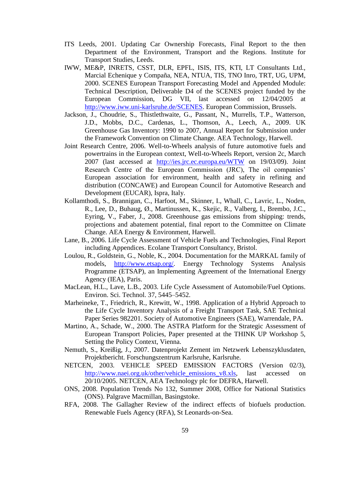- ITS Leeds, 2001. Updating Car Ownership Forecasts, Final Report to the then Department of the Environment, Transport and the Regions. Institute for Transport Studies, Leeds.
- IWW, ME&P, INRETS, CSST, DLR, EPFL, ISIS, ITS, KTI, LT Consultants Ltd., Marcial Echenique y Compaña, NEA, NTUA, TIS, TNO Inro, TRT, UG, UPM, 2000. SCENES European Transport Forecasting Model and Appended Module: Technical Description, Deliverable D4 of the SCENES project funded by the European Commission, DG VII, last accessed on 12/04/2005 at [http://www.iww.uni-karlsruhe.de/SCENES.](http://www.iww.uni-karlsruhe.de/SCENES) European Commission, Brussels.
- Jackson, J., Choudrie, S., Thistlethwaite, G., Passant, N., Murrells, T.P., Watterson, J.D., Mobbs, D.C., Cardenas, L., Thomson, A., Leech, A., 2009. UK Greenhouse Gas Inventory: 1990 to 2007, Annual Report for Submission under the Framework Convention on Climate Change. AEA Technology, Harwell.
- Joint Research Centre, 2006. Well-to-Wheels analysis of future automotive fuels and powertrains in the European context, Well-to-Wheels Report, version 2c, March 2007 (last accessed at <http://ies.jrc.ec.europa.eu/WTW> on 19/03/09). Joint Research Centre of the European Commission (JRC), The oil companies' European association for environment, health and safety in refining and distribution (CONCAWE) and European Council for Automotive Research and Development (EUCAR), Ispra, Italy.
- Kollamthodi, S., Brannigan, C., Harfoot, M., Skinner, I., Whall, C., Lavric, L., Noden, R., Lee, D., Buhaug, Ø., Martinussen, K., Skejic, R., Valberg, I., Brembo, J.C., Eyring, V., Faber, J., 2008. Greenhouse gas emissions from shipping: trends, projections and abatement potential, final report to the Committee on Climate Change. AEA Energy & Environment, Harwell.
- Lane, B., 2006. Life Cycle Assessment of Vehicle Fuels and Technologies, Final Report including Appendices. Ecolane Transport Consultancy, Bristol.
- Loulou, R., Goldstein, G., Noble, K., 2004. Documentation for the MARKAL family of models, [http://www.etsap.org/.](http://www.etsap.org/) Energy Technology Systems Analysis Programme (ETSAP), an Implementing Agreement of the International Energy Agency (IEA), Paris.
- MacLean, H.L., Lave, L.B., 2003. Life Cycle Assessment of Automobile/Fuel Options. Environ. Sci. Technol. 37, 5445–5452.
- Marheineke, T., Friedrich, R., Krewitt, W., 1998. Application of a Hybrid Approach to the Life Cycle Inventory Analysis of a Freight Transport Task, SAE Technical Paper Series 982201. Society of Automotive Engineers (SAE), Warrendale, PA.
- Martino, A., Schade, W., 2000. The ASTRA Platform for the Strategic Assessment of European Transport Policies, Paper presented at the THINK UP Workshop 5, Setting the Policy Context, Vienna.
- Nemuth, S., Kreißig, J., 2007. Datenprojekt Zement im Netzwerk Lebenszyklusdaten, Projektbericht. Forschungszentrum Karlsruhe, Karlsruhe.
- NETCEN, 2003. VEHICLE SPEED EMISSION FACTORS (Version 02/3), [http://www.naei.org.uk/other/vehicle\\_emissions\\_v8.xls,](http://www.naei.org.uk/other/vehicle_emissions_v8.xls) last accessed on 20/10/2005. NETCEN, AEA Technology plc for DEFRA, Harwell.
- ONS, 2008. Population Trends No 132, Summer 2008, Office for National Statistics (ONS). Palgrave Macmillan, Basingstoke.
- RFA, 2008. The Gallagher Review of the indirect effects of biofuels production. Renewable Fuels Agency (RFA), St Leonards-on-Sea.